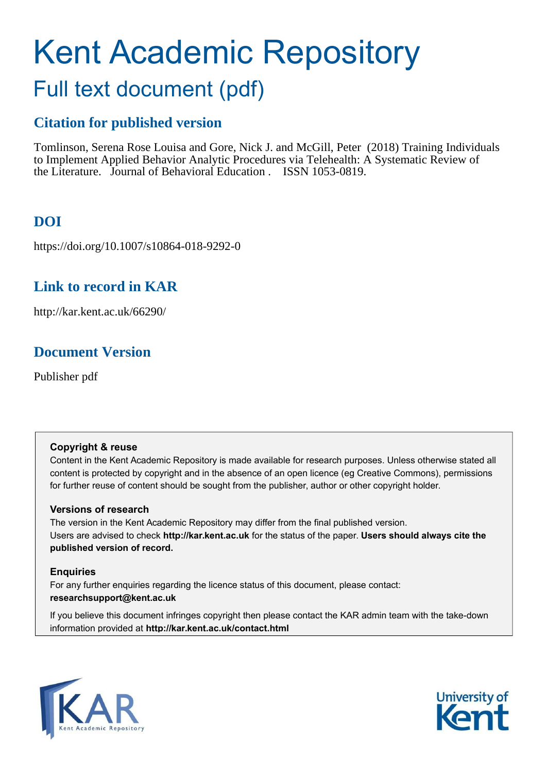# Kent Academic Repository Full text document (pdf)

# **Citation for published version**

Tomlinson, Serena Rose Louisa and Gore, Nick J. and McGill, Peter (2018) Training Individuals to Implement Applied Behavior Analytic Procedures via Telehealth: A Systematic Review of the Literature. Journal of Behavioral Education . ISSN 1053-0819.

# **DOI**

https://doi.org/10.1007/s10864-018-9292-0

## **Link to record in KAR**

http://kar.kent.ac.uk/66290/

## **Document Version**

Publisher pdf

### **Copyright & reuse**

Content in the Kent Academic Repository is made available for research purposes. Unless otherwise stated all content is protected by copyright and in the absence of an open licence (eg Creative Commons), permissions for further reuse of content should be sought from the publisher, author or other copyright holder.

### **Versions of research**

The version in the Kent Academic Repository may differ from the final published version. Users are advised to check **http://kar.kent.ac.uk** for the status of the paper. **Users should always cite the published version of record.**

### **Enquiries**

For any further enquiries regarding the licence status of this document, please contact: **researchsupport@kent.ac.uk**

If you believe this document infringes copyright then please contact the KAR admin team with the take-down information provided at **http://kar.kent.ac.uk/contact.html**



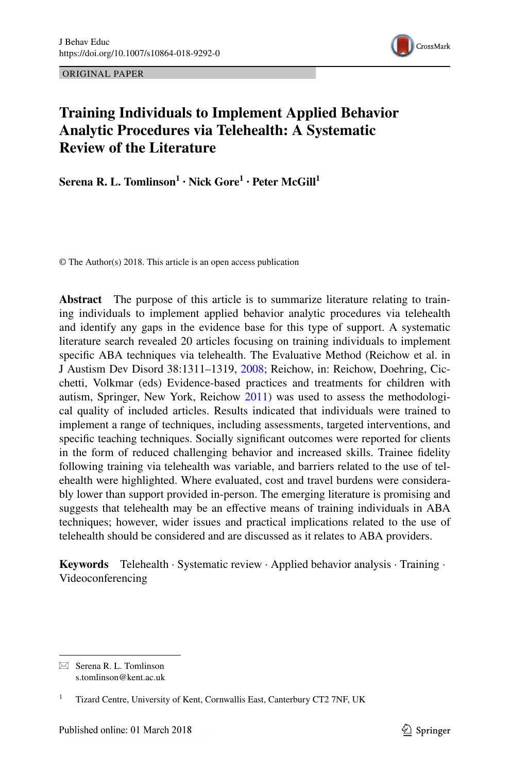ORIGINAL PAPER



### **Training Individuals to Implement Applied Behavior Analytic Procedures via Telehealth: A Systematic Review of the Literature**

**Serena R. L. Tomlinson<sup>1</sup> · Nick Gore<sup>1</sup> · Peter McGill<sup>1</sup>**

© The Author(s) 2018. This article is an open access publication

**Abstract** The purpose of this article is to summarize literature relating to training individuals to implement applied behavior analytic procedures via telehealth and identify any gaps in the evidence base for this type of support. A systematic literature search revealed 20 articles focusing on training individuals to implement specific ABA techniques via telehealth. The Evaluative Method (Reichow et al. in J Austism Dev Disord 38:1311–1319, [2008;](#page-49-0) Reichow, in: Reichow, Doehring, Cicchetti, Volkmar (eds) Evidence-based practices and treatments for children with autism, Springer, New York, Reichow [2011](#page-49-1)) was used to assess the methodological quality of included articles. Results indicated that individuals were trained to implement a range of techniques, including assessments, targeted interventions, and specific teaching techniques. Socially significant outcomes were reported for clients in the form of reduced challenging behavior and increased skills. Trainee fidelity following training via telehealth was variable, and barriers related to the use of telehealth were highlighted. Where evaluated, cost and travel burdens were considerably lower than support provided in-person. The emerging literature is promising and suggests that telehealth may be an efective means of training individuals in ABA techniques; however, wider issues and practical implications related to the use of telehealth should be considered and are discussed as it relates to ABA providers.

**Keywords** Telehealth · Systematic review · Applied behavior analysis · Training · Videoconferencing

 $\boxtimes$  Serena R. L. Tomlinson s.tomlinson@kent.ac.uk

<sup>1</sup> Tizard Centre, University of Kent, Cornwallis East, Canterbury CT2 7NF, UK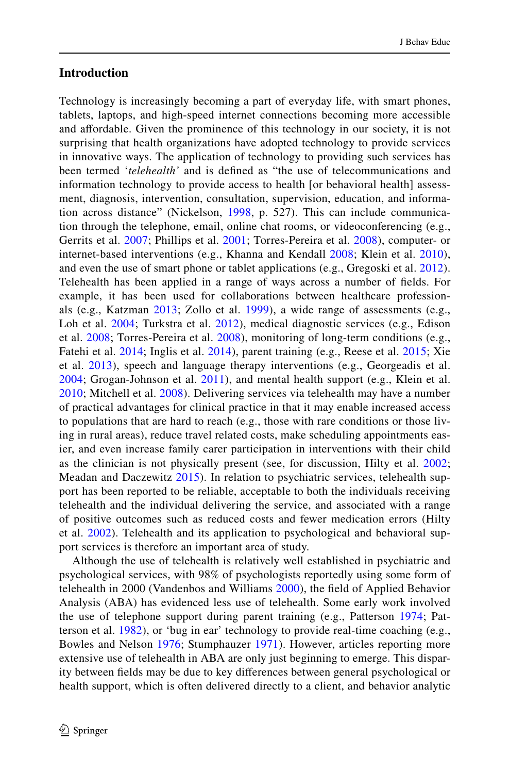### **Introduction**

Technology is increasingly becoming a part of everyday life, with smart phones, tablets, laptops, and high-speed internet connections becoming more accessible and afordable. Given the prominence of this technology in our society, it is not surprising that health organizations have adopted technology to provide services in innovative ways. The application of technology to providing such services has been termed '*telehealth'* and is deined as "the use of telecommunications and information technology to provide access to health [or behavioral health] assessment, diagnosis, intervention, consultation, supervision, education, and information across distance" (Nickelson, [1998,](#page-49-2) p. 527). This can include communication through the telephone, email, online chat rooms, or videoconferencing (e.g., Gerrits et al. [2007;](#page-47-0) Phillips et al. [2001;](#page-49-3) Torres-Pereira et al. [2008\)](#page-49-4), computer- or internet-based interventions (e.g., Khanna and Kendall [2008;](#page-48-0) Klein et al. [2010](#page-48-1)), and even the use of smart phone or tablet applications (e.g., Gregoski et al. [2012](#page-47-1)). Telehealth has been applied in a range of ways across a number of ields. For example, it has been used for collaborations between healthcare professionals (e.g., Katzman [2013](#page-47-2); Zollo et al. [1999](#page-50-0)), a wide range of assessments (e.g., Loh et al. [2004](#page-48-2); Turkstra et al. [2012](#page-49-5)), medical diagnostic services (e.g., Edison et al. [2008](#page-46-0); Torres-Pereira et al. [2008\)](#page-49-4), monitoring of long-term conditions (e.g., Fatehi et al. [2014;](#page-46-1) Inglis et al. [2014\)](#page-47-3), parent training (e.g., Reese et al. [2015;](#page-49-6) Xie et al. [2013\)](#page-50-1), speech and language therapy interventions (e.g., Georgeadis et al. [2004;](#page-47-4) Grogan-Johnson et al. [2011\)](#page-47-5), and mental health support (e.g., Klein et al. [2010;](#page-48-1) Mitchell et al. [2008](#page-48-3)). Delivering services via telehealth may have a number of practical advantages for clinical practice in that it may enable increased access to populations that are hard to reach (e.g., those with rare conditions or those living in rural areas), reduce travel related costs, make scheduling appointments easier, and even increase family carer participation in interventions with their child as the clinician is not physically present (see, for discussion, Hilty et al. [2002;](#page-47-6) Meadan and Daczewitz [2015](#page-48-4)). In relation to psychiatric services, telehealth support has been reported to be reliable, acceptable to both the individuals receiving telehealth and the individual delivering the service, and associated with a range of positive outcomes such as reduced costs and fewer medication errors (Hilty et al. [2002](#page-47-6)). Telehealth and its application to psychological and behavioral support services is therefore an important area of study.

Although the use of telehealth is relatively well established in psychiatric and psychological services, with 98% of psychologists reportedly using some form of telehealth in [2000](#page-50-2) (Vandenbos and Williams 2000), the field of Applied Behavior Analysis (ABA) has evidenced less use of telehealth. Some early work involved the use of telephone support during parent training (e.g., Patterson [1974;](#page-49-7) Patterson et al. [1982\)](#page-49-8), or 'bug in ear' technology to provide real-time coaching (e.g., Bowles and Nelson [1976;](#page-46-2) Stumphauzer [1971](#page-49-9)). However, articles reporting more extensive use of telehealth in ABA are only just beginning to emerge. This disparity between ields may be due to key diferences between general psychological or health support, which is often delivered directly to a client, and behavior analytic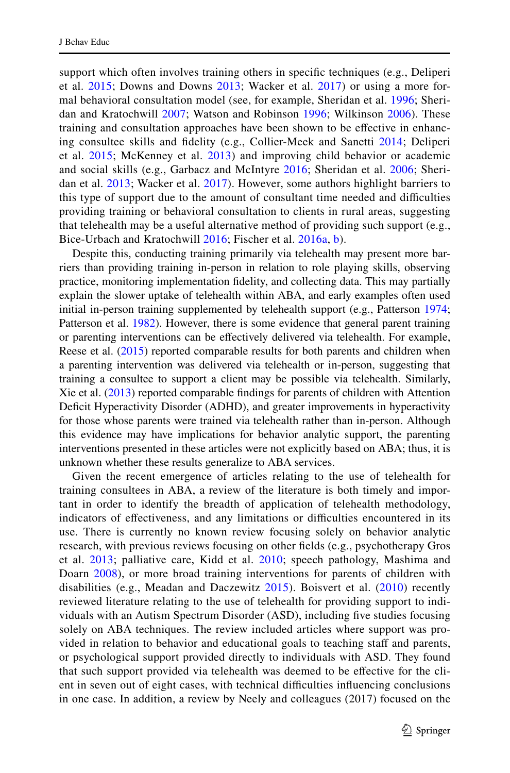support which often involves training others in specific techniques (e.g., Deliperi et al. [2015;](#page-46-3) Downs and Downs [2013;](#page-46-4) Wacker et al. [2017\)](#page-50-3) or using a more formal behavioral consultation model (see, for example, Sheridan et al. [1996](#page-49-10); Sheridan and Kratochwill [2007](#page-49-11); Watson and Robinson [1996;](#page-50-4) Wilkinson [2006\)](#page-50-5). These training and consultation approaches have been shown to be efective in enhancing consultee skills and idelity (e.g., Collier-Meek and Sanetti [2014](#page-46-5); Deliperi et al. [2015](#page-46-3); McKenney et al. [2013\)](#page-48-5) and improving child behavior or academic and social skills (e.g., Garbacz and McIntyre [2016](#page-47-7); Sheridan et al. [2006;](#page-49-12) Sheri-dan et al. [2013;](#page-49-13) Wacker et al. [2017](#page-50-3)). However, some authors highlight barriers to this type of support due to the amount of consultant time needed and difficulties providing training or behavioral consultation to clients in rural areas, suggesting that telehealth may be a useful alternative method of providing such support (e.g., Bice-Urbach and Kratochwill [2016;](#page-46-6) Fischer et al. [2016a](#page-46-7), [b\)](#page-46-8).

Despite this, conducting training primarily via telehealth may present more barriers than providing training in-person in relation to role playing skills, observing practice, monitoring implementation fidelity, and collecting data. This may partially explain the slower uptake of telehealth within ABA, and early examples often used initial in-person training supplemented by telehealth support (e.g., Patterson [1974;](#page-49-7) Patterson et al. [1982\)](#page-49-8). However, there is some evidence that general parent training or parenting interventions can be efectively delivered via telehealth. For example, Reese et al. [\(2015](#page-49-6)) reported comparable results for both parents and children when a parenting intervention was delivered via telehealth or in-person, suggesting that training a consultee to support a client may be possible via telehealth. Similarly, Xie et al. [\(2013](#page-50-1)) reported comparable indings for parents of children with Attention Deficit Hyperactivity Disorder (ADHD), and greater improvements in hyperactivity for those whose parents were trained via telehealth rather than in-person. Although this evidence may have implications for behavior analytic support, the parenting interventions presented in these articles were not explicitly based on ABA; thus, it is unknown whether these results generalize to ABA services.

Given the recent emergence of articles relating to the use of telehealth for training consultees in ABA, a review of the literature is both timely and important in order to identify the breadth of application of telehealth methodology, indicators of effectiveness, and any limitations or difficulties encountered in its use. There is currently no known review focusing solely on behavior analytic research, with previous reviews focusing on other ields (e.g., psychotherapy Gros et al. [2013;](#page-47-8) palliative care, Kidd et al. [2010;](#page-48-6) speech pathology, Mashima and Doarn [2008](#page-48-7)), or more broad training interventions for parents of children with disabilities (e.g., Meadan and Daczewitz [2015](#page-48-4)). Boisvert et al. [\(2010\)](#page-46-9) recently reviewed literature relating to the use of telehealth for providing support to individuals with an Autism Spectrum Disorder (ASD), including five studies focusing solely on ABA techniques. The review included articles where support was provided in relation to behavior and educational goals to teaching staff and parents, or psychological support provided directly to individuals with ASD. They found that such support provided via telehealth was deemed to be efective for the client in seven out of eight cases, with technical difficulties influencing conclusions in one case. In addition, a review by Neely and colleagues (2017) focused on the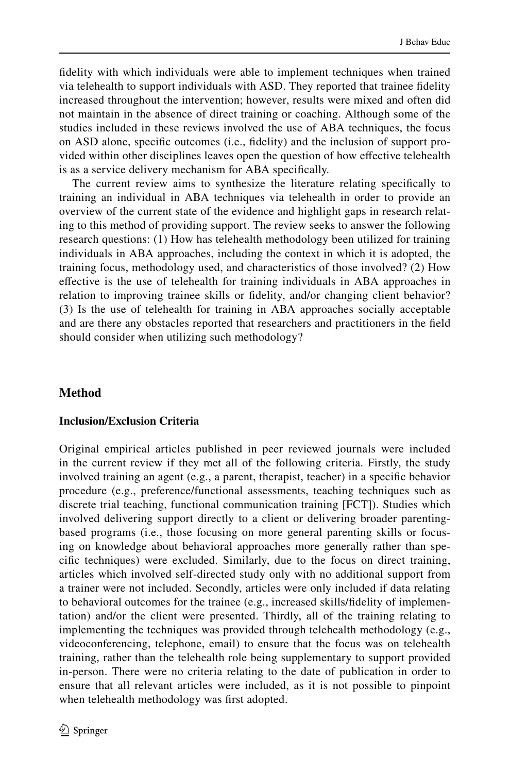fidelity with which individuals were able to implement techniques when trained via telehealth to support individuals with ASD. They reported that trainee idelity increased throughout the intervention; however, results were mixed and often did not maintain in the absence of direct training or coaching. Although some of the studies included in these reviews involved the use of ABA techniques, the focus on ASD alone, speciic outcomes (i.e., idelity) and the inclusion of support provided within other disciplines leaves open the question of how efective telehealth is as a service delivery mechanism for ABA specifically.

The current review aims to synthesize the literature relating specifically to training an individual in ABA techniques via telehealth in order to provide an overview of the current state of the evidence and highlight gaps in research relating to this method of providing support. The review seeks to answer the following research questions: (1) How has telehealth methodology been utilized for training individuals in ABA approaches, including the context in which it is adopted, the training focus, methodology used, and characteristics of those involved? (2) How efective is the use of telehealth for training individuals in ABA approaches in relation to improving trainee skills or idelity, and/or changing client behavior? (3) Is the use of telehealth for training in ABA approaches socially acceptable and are there any obstacles reported that researchers and practitioners in the ield should consider when utilizing such methodology?

### **Method**

### **Inclusion/Exclusion Criteria**

<span id="page-4-0"></span>Original empirical articles published in peer reviewed journals were included in the current review if they met all of the following criteria. Firstly, the study involved training an agent (e.g., a parent, therapist, teacher) in a specific behavior procedure (e.g., preference/functional assessments, teaching techniques such as discrete trial teaching, functional communication training [FCT]). Studies which involved delivering support directly to a client or delivering broader parentingbased programs (i.e., those focusing on more general parenting skills or focusing on knowledge about behavioral approaches more generally rather than specific techniques) were excluded. Similarly, due to the focus on direct training, articles which involved self-directed study only with no additional support from a trainer were not included. Secondly, articles were only included if data relating to behavioral outcomes for the trainee (e.g., increased skills/idelity of implementation) and/or the client were presented. Thirdly, all of the training relating to implementing the techniques was provided through telehealth methodology (e.g., videoconferencing, telephone, email) to ensure that the focus was on telehealth training, rather than the telehealth role being supplementary to support provided in-person. There were no criteria relating to the date of publication in order to ensure that all relevant articles were included, as it is not possible to pinpoint when telehealth methodology was first adopted.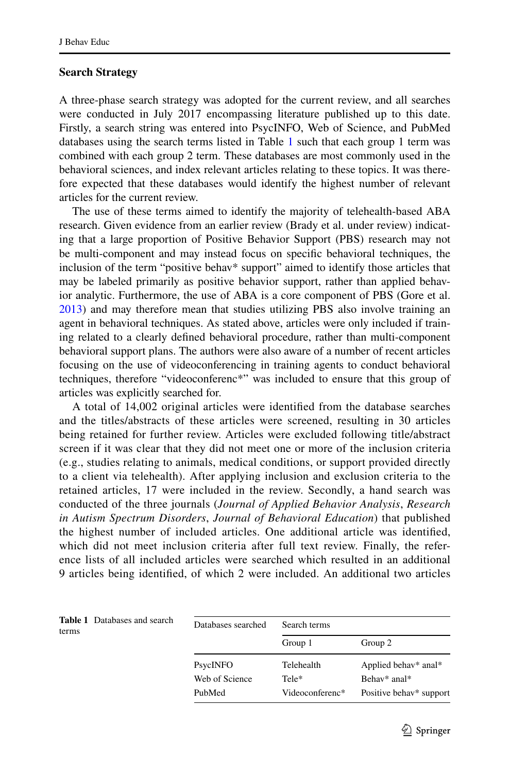### **Search Strategy**

A three-phase search strategy was adopted for the current review, and all searches were conducted in July 2017 encompassing literature published up to this date. Firstly, a search string was entered into PsycINFO, Web of Science, and PubMed databases using the search terms listed in Table [1](#page-4-0) such that each group 1 term was combined with each group 2 term. These databases are most commonly used in the behavioral sciences, and index relevant articles relating to these topics. It was therefore expected that these databases would identify the highest number of relevant articles for the current review.

The use of these terms aimed to identify the majority of telehealth-based ABA research. Given evidence from an earlier review (Brady et al. under review) indicating that a large proportion of Positive Behavior Support (PBS) research may not be multi-component and may instead focus on speciic behavioral techniques, the inclusion of the term "positive behav\* support" aimed to identify those articles that may be labeled primarily as positive behavior support, rather than applied behavior analytic. Furthermore, the use of ABA is a core component of PBS (Gore et al. [2013](#page-47-9)) and may therefore mean that studies utilizing PBS also involve training an agent in behavioral techniques. As stated above, articles were only included if training related to a clearly deined behavioral procedure, rather than multi-component behavioral support plans. The authors were also aware of a number of recent articles focusing on the use of videoconferencing in training agents to conduct behavioral techniques, therefore "videoconferenc\*" was included to ensure that this group of articles was explicitly searched for.

A total of 14,002 original articles were identified from the database searches and the titles/abstracts of these articles were screened, resulting in 30 articles being retained for further review. Articles were excluded following title/abstract screen if it was clear that they did not meet one or more of the inclusion criteria (e.g., studies relating to animals, medical conditions, or support provided directly to a client via telehealth). After applying inclusion and exclusion criteria to the retained articles, 17 were included in the review. Secondly, a hand search was conducted of the three journals (*Journal of Applied Behavior Analysis*, *Research in Autism Spectrum Disorders*, *Journal of Behavioral Education*) that published the highest number of included articles. One additional article was identiied, which did not meet inclusion criteria after full text review. Finally, the reference lists of all included articles were searched which resulted in an additional 9 articles being identiied, of which 2 were included. An additional two articles

| Databases searched | Search terms    |                         |
|--------------------|-----------------|-------------------------|
|                    | Group 1         | Group 2                 |
| PsycINFO           | Telehealth      | Applied behav* anal*    |
| Web of Science     | Tele*           | Behav* anal*            |
| PubMed             | Videoconferenc* | Positive behav* support |

<span id="page-5-0"></span>

|       | <b>Table 1</b> Databases and search |  |
|-------|-------------------------------------|--|
| terms |                                     |  |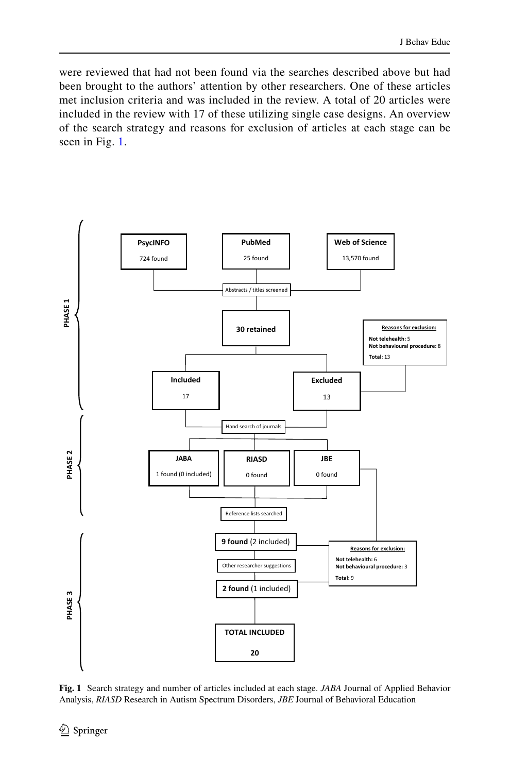were reviewed that had not been found via the searches described above but had been brought to the authors' attention by other researchers. One of these articles met inclusion criteria and was included in the review. A total of 20 articles were included in the review with 17 of these utilizing single case designs. An overview of the search strategy and reasons for exclusion of articles at each stage can be seen in Fig. [1.](#page-5-0)



**Fig. 1** Search strategy and number of articles included at each stage. *JABA* Journal of Applied Behavior Analysis, *RIASD* Research in Autism Spectrum Disorders, *JBE* Journal of Behavioral Education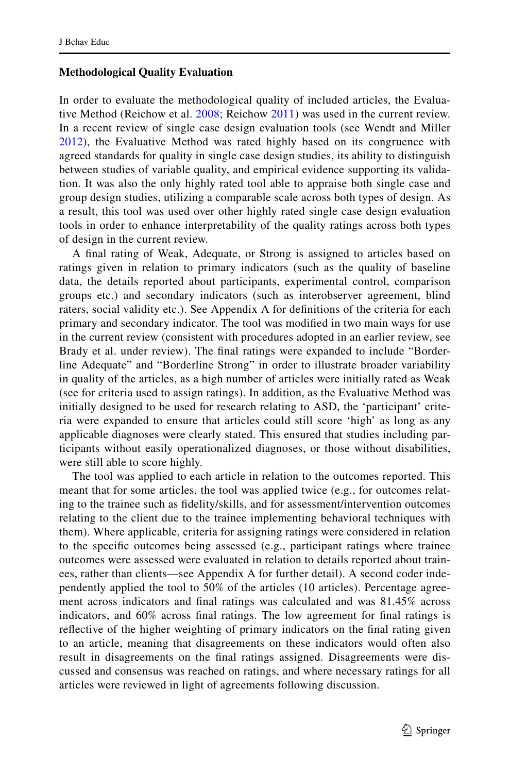### **Methodological Quality Evaluation**

In order to evaluate the methodological quality of included articles, the Evaluative Method (Reichow et al. [2008](#page-49-0); Reichow [2011](#page-49-1)) was used in the current review. In a recent review of single case design evaluation tools (see Wendt and Miller [2012\)](#page-50-6), the Evaluative Method was rated highly based on its congruence with agreed standards for quality in single case design studies, its ability to distinguish between studies of variable quality, and empirical evidence supporting its validation. It was also the only highly rated tool able to appraise both single case and group design studies, utilizing a comparable scale across both types of design. As a result, this tool was used over other highly rated single case design evaluation tools in order to enhance interpretability of the quality ratings across both types of design in the current review.

A inal rating of Weak, Adequate, or Strong is assigned to articles based on ratings given in relation to primary indicators (such as the quality of baseline data, the details reported about participants, experimental control, comparison groups etc.) and secondary indicators (such as interobserver agreement, blind raters, social validity etc.). See Appendix A for definitions of the criteria for each primary and secondary indicator. The tool was modiied in two main ways for use in the current review (consistent with procedures adopted in an earlier review, see Brady et al. under review). The final ratings were expanded to include "Borderline Adequate" and "Borderline Strong" in order to illustrate broader variability in quality of the articles, as a high number of articles were initially rated as Weak (see for criteria used to assign ratings). In addition, as the Evaluative Method was initially designed to be used for research relating to ASD, the 'participant' criteria were expanded to ensure that articles could still score 'high' as long as any applicable diagnoses were clearly stated. This ensured that studies including participants without easily operationalized diagnoses, or those without disabilities, were still able to score highly.

<span id="page-7-0"></span>The tool was applied to each article in relation to the outcomes reported. This meant that for some articles, the tool was applied twice (e.g., for outcomes relating to the trainee such as fidelity/skills, and for assessment/intervention outcomes relating to the client due to the trainee implementing behavioral techniques with them). Where applicable, criteria for assigning ratings were considered in relation to the specific outcomes being assessed (e.g., participant ratings where trainee outcomes were assessed were evaluated in relation to details reported about trainees, rather than clients—see Appendix A for further detail). A second coder independently applied the tool to 50% of the articles (10 articles). Percentage agreement across indicators and inal ratings was calculated and was 81.45% across indicators, and 60% across final ratings. The low agreement for final ratings is reflective of the higher weighting of primary indicators on the final rating given to an article, meaning that disagreements on these indicators would often also result in disagreements on the final ratings assigned. Disagreements were discussed and consensus was reached on ratings, and where necessary ratings for all articles were reviewed in light of agreements following discussion.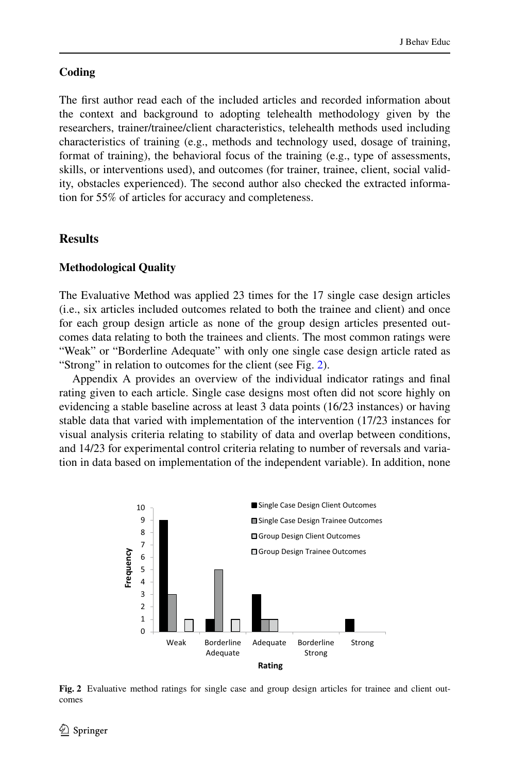### **Coding**

The first author read each of the included articles and recorded information about the context and background to adopting telehealth methodology given by the researchers, trainer/trainee/client characteristics, telehealth methods used including characteristics of training (e.g., methods and technology used, dosage of training, format of training), the behavioral focus of the training (e.g., type of assessments, skills, or interventions used), and outcomes (for trainer, trainee, client, social validity, obstacles experienced). The second author also checked the extracted information for 55% of articles for accuracy and completeness.

### **Results**

### **Methodological Quality**

The Evaluative Method was applied 23 times for the 17 single case design articles (i.e., six articles included outcomes related to both the trainee and client) and once for each group design article as none of the group design articles presented outcomes data relating to both the trainees and clients. The most common ratings were "Weak" or "Borderline Adequate" with only one single case design article rated as "Strong" in relation to outcomes for the client (see Fig. [2\)](#page-7-0).

Appendix A provides an overview of the individual indicator ratings and inal rating given to each article. Single case designs most often did not score highly on evidencing a stable baseline across at least 3 data points (16/23 instances) or having stable data that varied with implementation of the intervention (17/23 instances for visual analysis criteria relating to stability of data and overlap between conditions, and 14/23 for experimental control criteria relating to number of reversals and variation in data based on implementation of the independent variable). In addition, none



**Fig. 2** Evaluative method ratings for single case and group design articles for trainee and client outcomes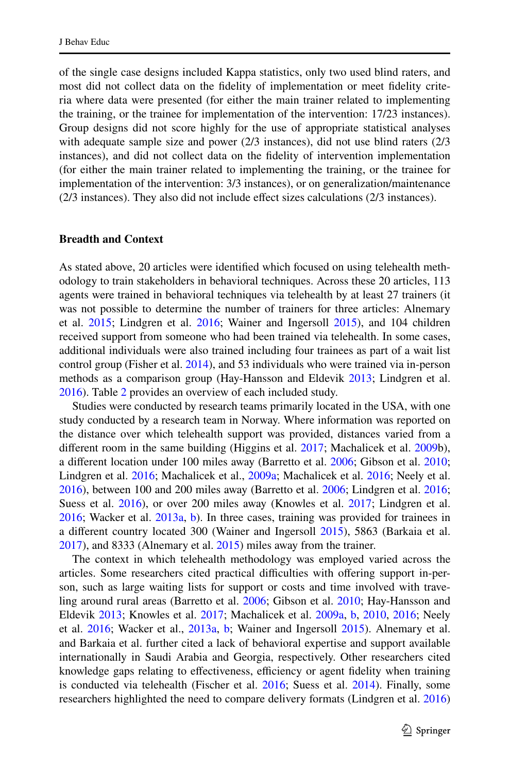of the single case designs included Kappa statistics, only two used blind raters, and most did not collect data on the idelity of implementation or meet idelity criteria where data were presented (for either the main trainer related to implementing the training, or the trainee for implementation of the intervention: 17/23 instances). Group designs did not score highly for the use of appropriate statistical analyses with adequate sample size and power (2/3 instances), did not use blind raters (2/3 instances), and did not collect data on the idelity of intervention implementation (for either the main trainer related to implementing the training, or the trainee for implementation of the intervention: 3/3 instances), or on generalization/maintenance (2/3 instances). They also did not include effect sizes calculations (2/3 instances).

### **Breadth and Context**

As stated above, 20 articles were identiied which focused on using telehealth methodology to train stakeholders in behavioral techniques. Across these 20 articles, 113 agents were trained in behavioral techniques via telehealth by at least 27 trainers (it was not possible to determine the number of trainers for three articles: Alnemary et al. [2015](#page-46-10); Lindgren et al. [2016;](#page-48-8) Wainer and Ingersoll [2015\)](#page-50-7), and 104 children received support from someone who had been trained via telehealth. In some cases, additional individuals were also trained including four trainees as part of a wait list control group (Fisher et al. [2014\)](#page-46-11), and 53 individuals who were trained via in-person methods as a comparison group (Hay-Hansson and Eldevik [2013;](#page-47-10) Lindgren et al. [2016](#page-48-8)). Table [2](#page-9-0) provides an overview of each included study.

Studies were conducted by research teams primarily located in the USA, with one study conducted by a research team in Norway. Where information was reported on the distance over which telehealth support was provided, distances varied from a diferent room in the same building (Higgins et al. [2017](#page-47-11); Machalicek et al. [2009b](#page-48-9)), a diferent location under 100 miles away (Barretto et al. [2006;](#page-46-12) Gibson et al. [2010;](#page-47-12) Lindgren et al. [2016](#page-48-8); Machalicek et al., [2009a](#page-48-10); Machalicek et al. [2016](#page-48-11); Neely et al. [2016](#page-49-14)), between 100 and 200 miles away (Barretto et al. [2006;](#page-46-12) Lindgren et al. [2016;](#page-48-8) Suess et al. [2016](#page-49-15)), or over 200 miles away (Knowles et al. [2017](#page-48-12); Lindgren et al. [2016](#page-48-8); Wacker et al. [2013a](#page-50-8), [b](#page-50-9)). In three cases, training was provided for trainees in a diferent country located 300 (Wainer and Ingersoll [2015](#page-50-7)), 5863 (Barkaia et al. [2017](#page-46-13)), and 8333 (Alnemary et al. [2015\)](#page-46-10) miles away from the trainer.

<span id="page-9-0"></span>The context in which telehealth methodology was employed varied across the articles. Some researchers cited practical difficulties with offering support in-person, such as large waiting lists for support or costs and time involved with traveling around rural areas (Barretto et al. [2006](#page-46-12); Gibson et al. [2010;](#page-47-12) Hay-Hansson and Eldevik [2013](#page-47-10); Knowles et al. [2017;](#page-48-12) Machalicek et al. [2009a](#page-48-10), [b](#page-48-9), [2010,](#page-48-13) [2016;](#page-48-11) Neely et al. [2016](#page-49-14); Wacker et al., [2013a,](#page-50-8) [b](#page-50-9); Wainer and Ingersoll [2015](#page-50-7)). Alnemary et al. and Barkaia et al. further cited a lack of behavioral expertise and support available internationally in Saudi Arabia and Georgia, respectively. Other researchers cited knowledge gaps relating to effectiveness, efficiency or agent fidelity when training is conducted via telehealth (Fischer et al. [2016](#page-46-7); Suess et al. [2014\)](#page-49-16). Finally, some researchers highlighted the need to compare delivery formats (Lindgren et al. [2016](#page-48-8))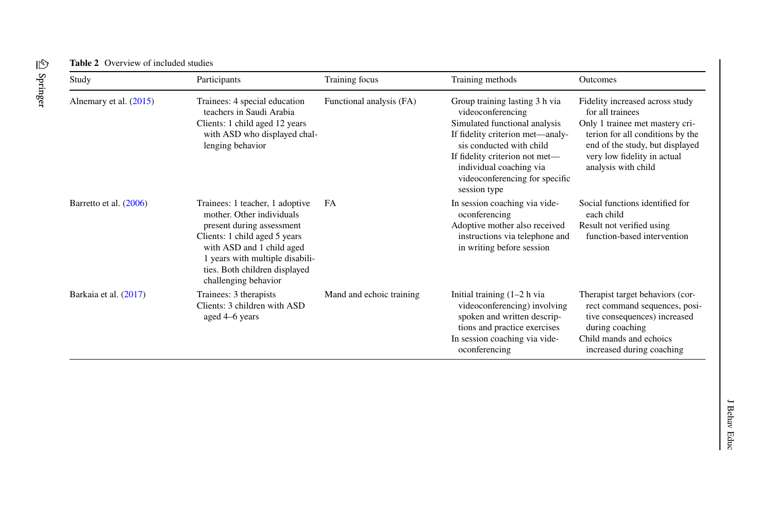| Study                    | Participants                                                                                                                                                                                                                                        | Training focus           | Training methods                                                                                                                                                                                                                                                    | <b>Outcomes</b>                                                                                                                                                                                                     |
|--------------------------|-----------------------------------------------------------------------------------------------------------------------------------------------------------------------------------------------------------------------------------------------------|--------------------------|---------------------------------------------------------------------------------------------------------------------------------------------------------------------------------------------------------------------------------------------------------------------|---------------------------------------------------------------------------------------------------------------------------------------------------------------------------------------------------------------------|
| Alnemary et al. $(2015)$ | Trainees: 4 special education<br>teachers in Saudi Arabia<br>Clients: 1 child aged 12 years<br>with ASD who displayed chal-<br>lenging behavior                                                                                                     | Functional analysis (FA) | Group training lasting 3 h via<br>videoconferencing<br>Simulated functional analysis<br>If fidelity criterion met—analy-<br>sis conducted with child<br>If fidelity criterion not met-<br>individual coaching via<br>videoconferencing for specific<br>session type | Fidelity increased across study<br>for all trainees<br>Only 1 trainee met mastery cri-<br>terion for all conditions by the<br>end of the study, but displayed<br>very low fidelity in actual<br>analysis with child |
| Barretto et al. (2006)   | Trainees: 1 teacher, 1 adoptive<br>mother. Other individuals<br>present during assessment<br>Clients: 1 child aged 5 years<br>with ASD and 1 child aged<br>1 years with multiple disabili-<br>ties. Both children displayed<br>challenging behavior | FA                       | In session coaching via vide-<br>oconferencing<br>Adoptive mother also received<br>instructions via telephone and<br>in writing before session                                                                                                                      | Social functions identified for<br>each child<br>Result not verified using<br>function-based intervention                                                                                                           |
| Barkaia et al. (2017)    | Trainees: 3 therapists<br>Clients: 3 children with ASD<br>aged 4–6 years                                                                                                                                                                            | Mand and echoic training | Initial training $(1-2)$ h via<br>videoconferencing) involving<br>spoken and written descrip-<br>tions and practice exercises<br>In session coaching via vide-<br>oconferencing                                                                                     | Therapist target behaviors (cor-<br>rect command sequences, posi-<br>tive consequences) increased<br>during coaching<br>Child mands and echoics<br>increased during coaching                                        |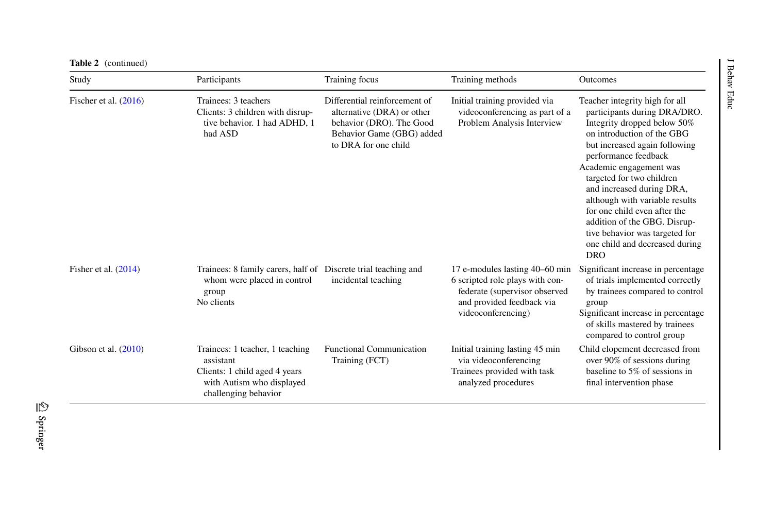| <b>Table 2</b> (continued) |                                                                                                                                    |                                                                                                                                              |                                                                                                                                                       |                                                                                                                                                                                                                                                                                                                                                                                                                                                                       |
|----------------------------|------------------------------------------------------------------------------------------------------------------------------------|----------------------------------------------------------------------------------------------------------------------------------------------|-------------------------------------------------------------------------------------------------------------------------------------------------------|-----------------------------------------------------------------------------------------------------------------------------------------------------------------------------------------------------------------------------------------------------------------------------------------------------------------------------------------------------------------------------------------------------------------------------------------------------------------------|
| Study                      | Participants                                                                                                                       | Training focus                                                                                                                               | Training methods                                                                                                                                      | Behav<br><b>Outcomes</b>                                                                                                                                                                                                                                                                                                                                                                                                                                              |
| Fischer et al. $(2016)$    | Trainees: 3 teachers<br>Clients: 3 children with disrup-<br>tive behavior. 1 had ADHD, 1<br>had ASD                                | Differential reinforcement of<br>alternative (DRA) or other<br>behavior (DRO). The Good<br>Behavior Game (GBG) added<br>to DRA for one child | Initial training provided via<br>videoconferencing as part of a<br>Problem Analysis Interview                                                         | Educ<br>Teacher integrity high for all<br>participants during DRA/DRO.<br>Integrity dropped below 50%<br>on introduction of the GBG<br>but increased again following<br>performance feedback<br>Academic engagement was<br>targeted for two children<br>and increased during DRA,<br>although with variable results<br>for one child even after the<br>addition of the GBG. Disrup-<br>tive behavior was targeted for<br>one child and decreased during<br><b>DRO</b> |
| Fisher et al. $(2014)$     | Trainees: 8 family carers, half of<br>whom were placed in control<br>group<br>No clients                                           | Discrete trial teaching and<br>incidental teaching                                                                                           | 17 e-modules lasting 40–60 min<br>6 scripted role plays with con-<br>federate (supervisor observed<br>and provided feedback via<br>videoconferencing) | Significant increase in percentage<br>of trials implemented correctly<br>by trainees compared to control<br>group<br>Significant increase in percentage<br>of skills mastered by trainees<br>compared to control group                                                                                                                                                                                                                                                |
| Gibson et al. $(2010)$     | Trainees: 1 teacher, 1 teaching<br>assistant<br>Clients: 1 child aged 4 years<br>with Autism who displayed<br>challenging behavior | <b>Functional Communication</b><br>Training (FCT)                                                                                            | Initial training lasting 45 min<br>via videoconferencing<br>Trainees provided with task<br>analyzed procedures                                        | Child elopement decreased from<br>over 90% of sessions during<br>baseline to 5% of sessions in<br>final intervention phase                                                                                                                                                                                                                                                                                                                                            |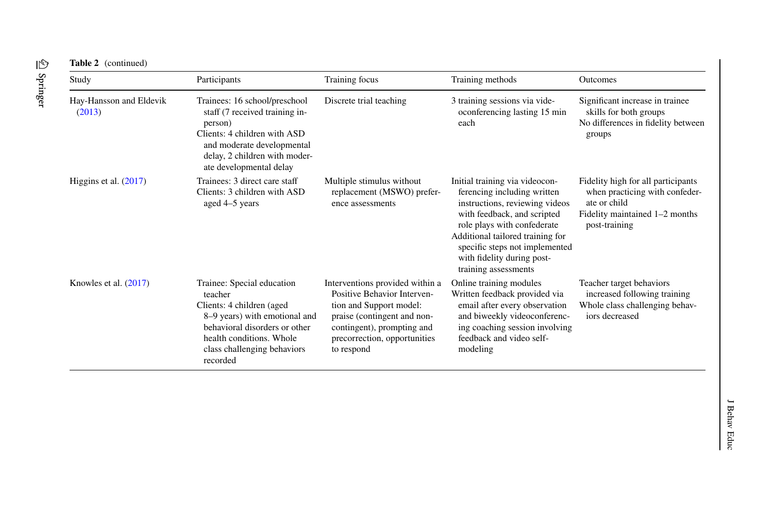| Study                             | Participants                                                                                                                                                                                                | Training focus                                                                                                                                                                                       | Training methods                                                                                                                                                                                                                                                                          | <b>Outcomes</b>                                                                                                                         |
|-----------------------------------|-------------------------------------------------------------------------------------------------------------------------------------------------------------------------------------------------------------|------------------------------------------------------------------------------------------------------------------------------------------------------------------------------------------------------|-------------------------------------------------------------------------------------------------------------------------------------------------------------------------------------------------------------------------------------------------------------------------------------------|-----------------------------------------------------------------------------------------------------------------------------------------|
| Hay-Hansson and Eldevik<br>(2013) | Trainees: 16 school/preschool<br>staff (7 received training in-<br>person)<br>Clients: 4 children with ASD<br>and moderate developmental<br>delay, 2 children with moder-<br>ate developmental delay        | Discrete trial teaching                                                                                                                                                                              | 3 training sessions via vide-<br>oconferencing lasting 15 min<br>each                                                                                                                                                                                                                     | Significant increase in trainee<br>skills for both groups<br>No differences in fidelity between<br>groups                               |
| Higgins et al. $(2017)$           | Trainees: 3 direct care staff<br>Clients: 3 children with ASD<br>aged 4–5 years                                                                                                                             | Multiple stimulus without<br>replacement (MSWO) prefer-<br>ence assessments                                                                                                                          | Initial training via videocon-<br>ferencing including written<br>instructions, reviewing videos<br>with feedback, and scripted<br>role plays with confederate<br>Additional tailored training for<br>specific steps not implemented<br>with fidelity during post-<br>training assessments | Fidelity high for all participants<br>when practicing with confeder-<br>ate or child<br>Fidelity maintained 1–2 months<br>post-training |
| Knowles et al. $(2017)$           | Trainee: Special education<br>teacher<br>Clients: 4 children (aged<br>8–9 years) with emotional and<br>behavioral disorders or other<br>health conditions. Whole<br>class challenging behaviors<br>recorded | Interventions provided within a<br>Positive Behavior Interven-<br>tion and Support model:<br>praise (contingent and non-<br>contingent), prompting and<br>precorrection, opportunities<br>to respond | Online training modules<br>Written feedback provided via<br>email after every observation<br>and biweekly videoconferenc-<br>ing coaching session involving<br>feedback and video self-<br>modeling                                                                                       | Teacher target behaviors<br>increased following training<br>Whole class challenging behav-<br>iors decreased                            |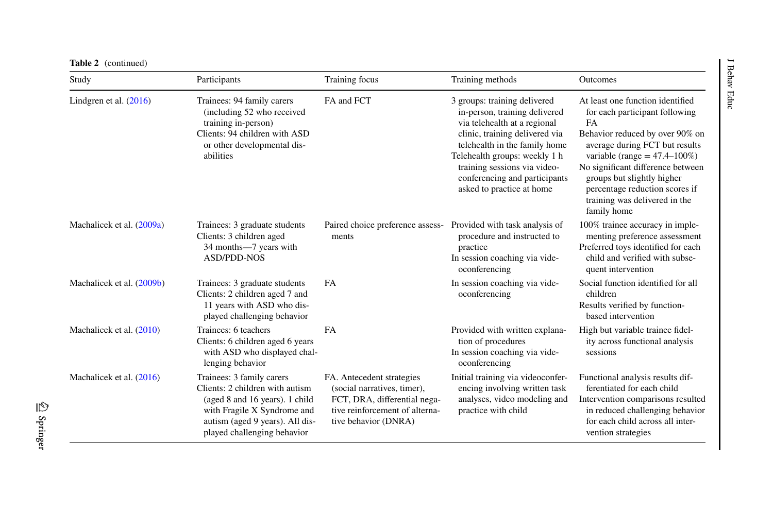| Study                     | Participants                                                                                                                                                                                    | Training focus                                                                                                                                     | Training methods                                                                                                                                                                                                                                                                                | Outcomes                                                                                                                                                                                                                                                                                                                                 |
|---------------------------|-------------------------------------------------------------------------------------------------------------------------------------------------------------------------------------------------|----------------------------------------------------------------------------------------------------------------------------------------------------|-------------------------------------------------------------------------------------------------------------------------------------------------------------------------------------------------------------------------------------------------------------------------------------------------|------------------------------------------------------------------------------------------------------------------------------------------------------------------------------------------------------------------------------------------------------------------------------------------------------------------------------------------|
| Lindgren et al. (2016)    | Trainees: 94 family carers<br>(including 52 who received<br>training in-person)<br>Clients: 94 children with ASD<br>or other developmental dis-<br>abilities                                    | FA and FCT                                                                                                                                         | 3 groups: training delivered<br>in-person, training delivered<br>via telehealth at a regional<br>clinic, training delivered via<br>telehealth in the family home<br>Telehealth groups: weekly 1 h<br>training sessions via video-<br>conferencing and participants<br>asked to practice at home | At least one function identified<br>for each participant following<br>FA<br>Behavior reduced by over 90% on<br>average during FCT but results<br>variable (range $= 47.4 - 100\%$ )<br>No significant difference between<br>groups but slightly higher<br>percentage reduction scores if<br>training was delivered in the<br>family home |
| Machalicek et al. (2009a) | Trainees: 3 graduate students<br>Clients: 3 children aged<br>34 months-7 years with<br><b>ASD/PDD-NOS</b>                                                                                       | Paired choice preference assess-<br>ments                                                                                                          | Provided with task analysis of<br>procedure and instructed to<br>practice<br>In session coaching via vide-<br>oconferencing                                                                                                                                                                     | 100% trainee accuracy in imple-<br>menting preference assessment<br>Preferred toys identified for each<br>child and verified with subse-<br>quent intervention                                                                                                                                                                           |
| Machalicek et al. (2009b) | Trainees: 3 graduate students<br>Clients: 2 children aged 7 and<br>11 years with ASD who dis-<br>played challenging behavior                                                                    | <b>FA</b>                                                                                                                                          | In session coaching via vide-<br>oconferencing                                                                                                                                                                                                                                                  | Social function identified for all<br>children<br>Results verified by function-<br>based intervention                                                                                                                                                                                                                                    |
| Machalicek et al. (2010)  | Trainees: 6 teachers<br>Clients: 6 children aged 6 years<br>with ASD who displayed chal-<br>lenging behavior                                                                                    | <b>FA</b>                                                                                                                                          | Provided with written explana-<br>tion of procedures<br>In session coaching via vide-<br>oconferencing                                                                                                                                                                                          | High but variable trainee fidel-<br>ity across functional analysis<br>sessions                                                                                                                                                                                                                                                           |
| Machalicek et al. (2016)  | Trainees: 3 family carers<br>Clients: 2 children with autism<br>(aged 8 and 16 years). 1 child<br>with Fragile X Syndrome and<br>autism (aged 9 years). All dis-<br>played challenging behavior | FA. Antecedent strategies<br>(social narratives, timer),<br>FCT, DRA, differential nega-<br>tive reinforcement of alterna-<br>tive behavior (DNRA) | Initial training via videoconfer-<br>encing involving written task<br>analyses, video modeling and<br>practice with child                                                                                                                                                                       | Functional analysis results dif-<br>ferentiated for each child<br>Intervention comparisons resulted<br>in reduced challenging behavior<br>for each child across all inter-<br>vention strategies                                                                                                                                         |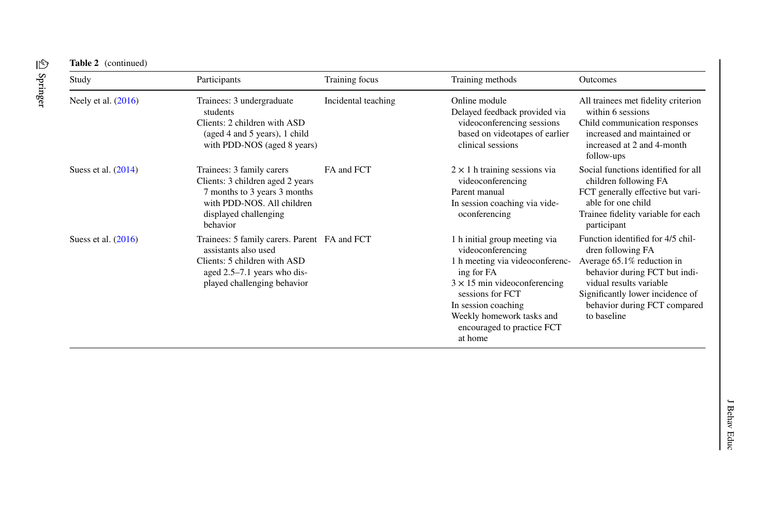| Study                 | Participants                                                                                                                                                       | Training focus      | Training methods                                                                                                                                                                                                                                            | Outcomes                                                                                                                                                                                                                            |
|-----------------------|--------------------------------------------------------------------------------------------------------------------------------------------------------------------|---------------------|-------------------------------------------------------------------------------------------------------------------------------------------------------------------------------------------------------------------------------------------------------------|-------------------------------------------------------------------------------------------------------------------------------------------------------------------------------------------------------------------------------------|
| Neely et al. (2016)   | Trainees: 3 undergraduate<br>students<br>Clients: 2 children with ASD<br>(aged 4 and 5 years), 1 child<br>with PDD-NOS (aged 8 years)                              | Incidental teaching | Online module<br>Delayed feedback provided via<br>videoconferencing sessions<br>based on videotapes of earlier<br>clinical sessions                                                                                                                         | All trainees met fidelity criterion<br>within 6 sessions<br>Child communication responses<br>increased and maintained or<br>increased at 2 and 4-month<br>follow-ups                                                                |
| Suess et al. $(2014)$ | Trainees: 3 family carers<br>Clients: 3 children aged 2 years<br>7 months to 3 years 3 months<br>with PDD-NOS. All children<br>displayed challenging<br>behavior   | FA and FCT          | $2 \times 1$ h training sessions via<br>videoconferencing<br>Parent manual<br>In session coaching via vide-<br>oconferencing                                                                                                                                | Social functions identified for all<br>children following FA<br>FCT generally effective but vari-<br>able for one child<br>Trainee fidelity variable for each<br>participant                                                        |
| Suess et al. $(2016)$ | Trainees: 5 family carers. Parent FA and FCT<br>assistants also used<br>Clients: 5 children with ASD<br>aged 2.5–7.1 years who dis-<br>played challenging behavior |                     | 1 h initial group meeting via<br>videoconferencing<br>1 h meeting via videoconferenc-<br>ing for FA<br>$3 \times 15$ min videoconferencing<br>sessions for FCT<br>In session coaching<br>Weekly homework tasks and<br>encouraged to practice FCT<br>at home | Function identified for 4/5 chil-<br>dren following FA<br>Average 65.1% reduction in<br>behavior during FCT but indi-<br>vidual results variable<br>Significantly lower incidence of<br>behavior during FCT compared<br>to baseline |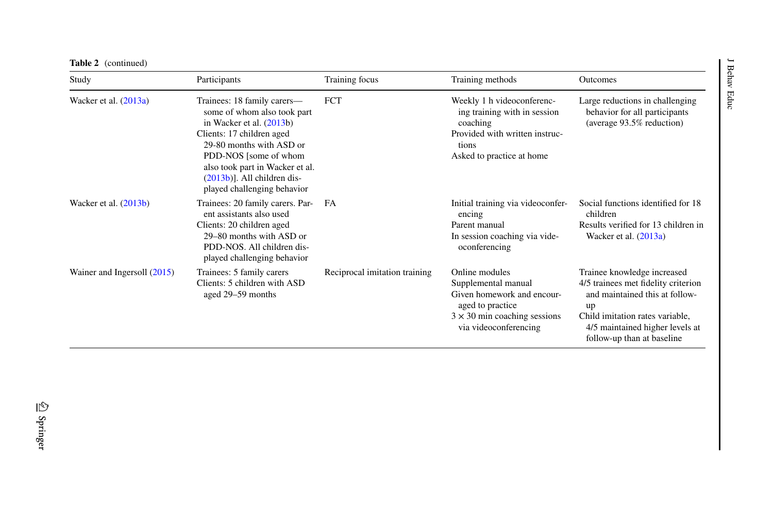| <b>Table 2</b> (continued)    |                                                                                                                                                                                                                                                                                |                               |                                                                                                                                                         |                                                                                                                                                                                                                |
|-------------------------------|--------------------------------------------------------------------------------------------------------------------------------------------------------------------------------------------------------------------------------------------------------------------------------|-------------------------------|---------------------------------------------------------------------------------------------------------------------------------------------------------|----------------------------------------------------------------------------------------------------------------------------------------------------------------------------------------------------------------|
| Study                         | Participants                                                                                                                                                                                                                                                                   | Training focus                | Training methods                                                                                                                                        | <b>Outcomes</b>                                                                                                                                                                                                |
| Wacker et al. $(2013a)$       | Trainees: 18 family carers—<br>some of whom also took part<br>in Wacker et al. $(2013b)$<br>Clients: 17 children aged<br>29-80 months with ASD or<br>PDD-NOS [some of whom<br>also took part in Wacker et al.<br>$(2013b)$ ]. All children dis-<br>played challenging behavior | <b>FCT</b>                    | Weekly 1 h videoconferenc-<br>ing training with in session<br>coaching<br>Provided with written instruc-<br>tions<br>Asked to practice at home          | Large reductions in challenging<br>behavior for all participants<br>(average 93.5% reduction)                                                                                                                  |
| Wacker et al. $(2013b)$       | Trainees: 20 family carers. Par-<br>ent assistants also used<br>Clients: 20 children aged<br>29–80 months with ASD or<br>PDD-NOS. All children dis-<br>played challenging behavior                                                                                             | FA                            | Initial training via videoconfer-<br>encing<br>Parent manual<br>In session coaching via vide-<br>oconferencing                                          | Social functions identified for 18<br>children<br>Results verified for 13 children in<br>Wacker et al. $(2013a)$                                                                                               |
| Wainer and Ingersoll $(2015)$ | Trainees: 5 family carers<br>Clients: 5 children with ASD<br>aged 29–59 months                                                                                                                                                                                                 | Reciprocal imitation training | Online modules<br>Supplemental manual<br>Given homework and encour-<br>aged to practice<br>$3 \times 30$ min coaching sessions<br>via videoconferencing | Trainee knowledge increased<br>4/5 trainees met fidelity criterion<br>and maintained this at follow-<br>up<br>Child imitation rates variable,<br>4/5 maintained higher levels at<br>follow-up than at baseline |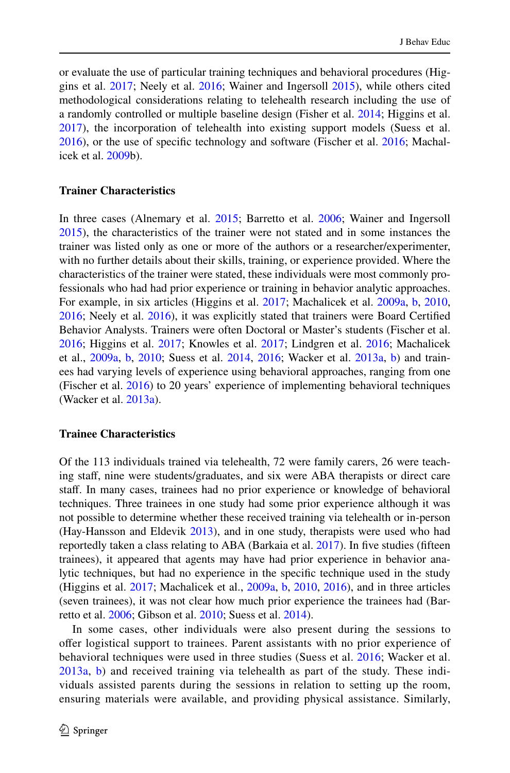or evaluate the use of particular training techniques and behavioral procedures (Higgins et al. [2017;](#page-47-11) Neely et al. [2016](#page-49-14); Wainer and Ingersoll [2015](#page-50-7)), while others cited methodological considerations relating to telehealth research including the use of a randomly controlled or multiple baseline design (Fisher et al. [2014](#page-46-11); Higgins et al. [2017](#page-47-11)), the incorporation of telehealth into existing support models (Suess et al. [2016](#page-46-7)), or the use of specific technology and software (Fischer et al. 2016; Machalicek et al. [2009](#page-48-9)b).

### **Trainer Characteristics**

In three cases (Alnemary et al. [2015;](#page-46-10) Barretto et al. [2006;](#page-46-12) Wainer and Ingersoll [2015](#page-50-7)), the characteristics of the trainer were not stated and in some instances the trainer was listed only as one or more of the authors or a researcher/experimenter, with no further details about their skills, training, or experience provided. Where the characteristics of the trainer were stated, these individuals were most commonly professionals who had had prior experience or training in behavior analytic approaches. For example, in six articles (Higgins et al. [2017](#page-47-11); Machalicek et al. [2009a,](#page-48-10) [b](#page-48-9), [2010,](#page-48-13) [2016](#page-49-14); Neely et al. 2016), it was explicitly stated that trainers were Board Certified Behavior Analysts. Trainers were often Doctoral or Master's students (Fischer et al. [2016](#page-46-7); Higgins et al. [2017](#page-47-11); Knowles et al. [2017](#page-48-12); Lindgren et al. [2016;](#page-48-8) Machalicek et al., [2009a](#page-48-10), [b](#page-48-9), [2010](#page-48-13); Suess et al. [2014,](#page-49-16) [2016](#page-49-15); Wacker et al. [2013a,](#page-50-8) [b\)](#page-50-9) and trainees had varying levels of experience using behavioral approaches, ranging from one (Fischer et al. [2016](#page-46-7)) to 20 years' experience of implementing behavioral techniques (Wacker et al. [2013a](#page-50-8)).

### **Trainee Characteristics**

Of the 113 individuals trained via telehealth, 72 were family carers, 26 were teaching staff, nine were students/graduates, and six were ABA therapists or direct care staf. In many cases, trainees had no prior experience or knowledge of behavioral techniques. Three trainees in one study had some prior experience although it was not possible to determine whether these received training via telehealth or in-person (Hay-Hansson and Eldevik [2013\)](#page-47-10), and in one study, therapists were used who had reportedly taken a class relating to ABA (Barkaia et al. [2017\)](#page-46-13). In ive studies (ifteen trainees), it appeared that agents may have had prior experience in behavior analytic techniques, but had no experience in the specific technique used in the study (Higgins et al. [2017](#page-47-11); Machalicek et al., [2009a](#page-48-10), [b,](#page-48-9) [2010](#page-48-13), [2016\)](#page-48-11), and in three articles (seven trainees), it was not clear how much prior experience the trainees had (Barretto et al. [2006;](#page-46-12) Gibson et al. [2010](#page-47-12); Suess et al. [2014\)](#page-49-16).

In some cases, other individuals were also present during the sessions to ofer logistical support to trainees. Parent assistants with no prior experience of behavioral techniques were used in three studies (Suess et al. [2016](#page-49-15); Wacker et al. [2013a](#page-50-8), [b\)](#page-50-9) and received training via telehealth as part of the study. These individuals assisted parents during the sessions in relation to setting up the room, ensuring materials were available, and providing physical assistance. Similarly,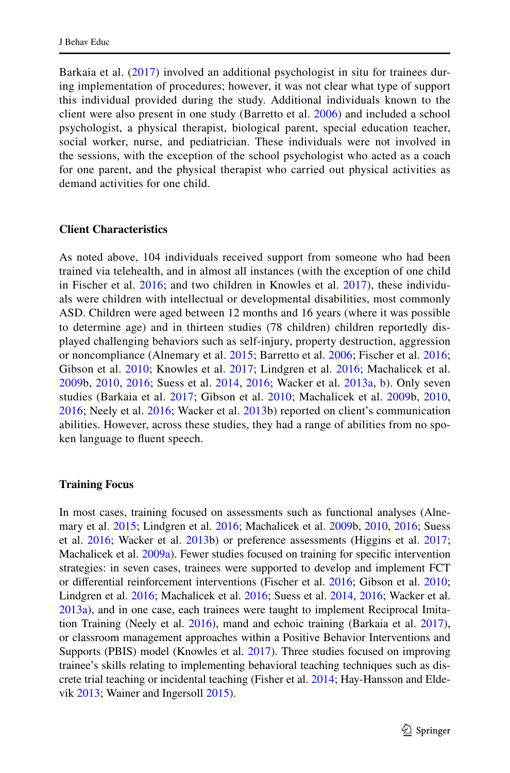Barkaia et al. ([2017](#page-46-13)) involved an additional psychologist in situ for trainees during implementation of procedures; however, it was not clear what type of support this individual provided during the study. Additional individuals known to the client were also present in one study (Barretto et al. [2006](#page-46-12)) and included a school psychologist, a physical therapist, biological parent, special education teacher, social worker, nurse, and pediatrician. These individuals were not involved in the sessions, with the exception of the school psychologist who acted as a coach for one parent, and the physical therapist who carried out physical activities as demand activities for one child.

### **Client Characteristics**

As noted above, 104 individuals received support from someone who had been trained via telehealth, and in almost all instances (with the exception of one child in Fischer et al. [2016;](#page-46-7) and two children in Knowles et al. [2017](#page-48-12)), these individuals were children with intellectual or developmental disabilities, most commonly ASD. Children were aged between 12 months and 16 years (where it was possible to determine age) and in thirteen studies (78 children) children reportedly displayed challenging behaviors such as self-injury, property destruction, aggression or noncompliance (Alnemary et al. [2015](#page-46-10); Barretto et al. [2006;](#page-46-12) Fischer et al. [2016;](#page-46-7) Gibson et al. [2010;](#page-47-12) Knowles et al. [2017;](#page-48-12) Lindgren et al. [2016](#page-48-8); Machalicek et al. [2009b](#page-48-9), [2010](#page-48-13), [2016](#page-48-11); Suess et al. [2014](#page-49-16), [2016;](#page-49-15) Wacker et al. [2013a,](#page-50-8) [b\)](#page-50-9). Only seven studies (Barkaia et al. [2017](#page-46-13); Gibson et al. [2010](#page-47-12); Machalicek et al. [2009](#page-48-9)b, [2010,](#page-48-13) [2016;](#page-48-11) Neely et al. [2016;](#page-49-14) Wacker et al. [2013](#page-50-9)b) reported on client's communication abilities. However, across these studies, they had a range of abilities from no spoken language to fluent speech.

### **Training Focus**

In most cases, training focused on assessments such as functional analyses (Alnemary et al. [2015;](#page-46-10) Lindgren et al. [2016;](#page-48-8) Machalicek et al. [2009b](#page-48-9), [2010](#page-48-13), [2016;](#page-48-11) Suess et al. [2016](#page-49-15); Wacker et al. [2013](#page-50-9)b) or preference assessments (Higgins et al. [2017;](#page-47-11) Machalicek et al. [2009a\)](#page-48-10). Fewer studies focused on training for specific intervention strategies: in seven cases, trainees were supported to develop and implement FCT or diferential reinforcement interventions (Fischer et al. [2016;](#page-46-7) Gibson et al. [2010;](#page-47-12) Lindgren et al. [2016](#page-48-8); Machalicek et al. [2016;](#page-48-11) Suess et al. [2014,](#page-49-16) [2016](#page-49-15); Wacker et al. [2013a](#page-50-8)), and in one case, each trainees were taught to implement Reciprocal Imitation Training (Neely et al. [2016\)](#page-49-14), mand and echoic training (Barkaia et al. [2017\)](#page-46-13), or classroom management approaches within a Positive Behavior Interventions and Supports (PBIS) model (Knowles et al. [2017\)](#page-48-12). Three studies focused on improving trainee's skills relating to implementing behavioral teaching techniques such as discrete trial teaching or incidental teaching (Fisher et al. [2014](#page-46-11); Hay-Hansson and Eldevik [2013](#page-47-10); Wainer and Ingersoll [2015\)](#page-50-7).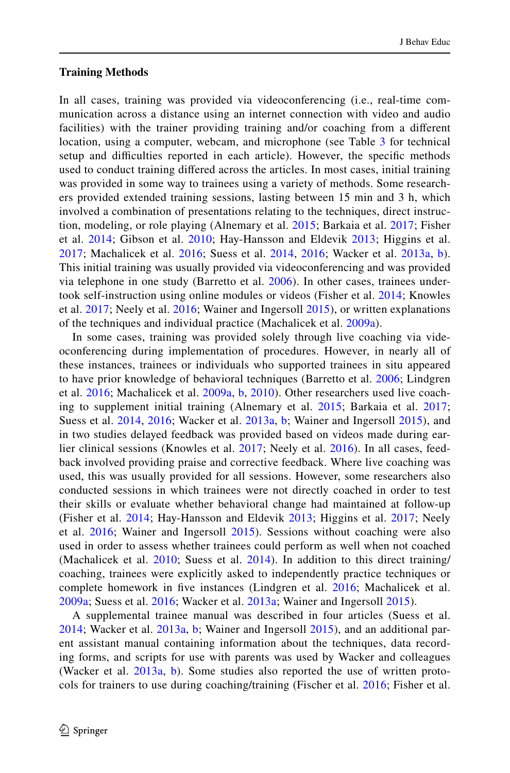### **Training Methods**

In all cases, training was provided via videoconferencing (i.e., real-time communication across a distance using an internet connection with video and audio facilities) with the trainer providing training and/or coaching from a diferent location, using a computer, webcam, and microphone (see Table [3](#page-18-0) for technical setup and difficulties reported in each article). However, the specific methods used to conduct training difered across the articles. In most cases, initial training was provided in some way to trainees using a variety of methods. Some researchers provided extended training sessions, lasting between 15 min and 3 h, which involved a combination of presentations relating to the techniques, direct instruction, modeling, or role playing (Alnemary et al. [2015](#page-46-10); Barkaia et al. [2017;](#page-46-13) Fisher et al. [2014;](#page-46-11) Gibson et al. [2010;](#page-47-12) Hay-Hansson and Eldevik [2013;](#page-47-10) Higgins et al. [2017;](#page-47-11) Machalicek et al. [2016;](#page-48-11) Suess et al. [2014](#page-49-16), [2016](#page-49-15); Wacker et al. [2013a](#page-50-8), [b](#page-50-9)). This initial training was usually provided via videoconferencing and was provided via telephone in one study (Barretto et al. [2006](#page-46-12)). In other cases, trainees undertook self-instruction using online modules or videos (Fisher et al. [2014;](#page-46-11) Knowles et al. [2017](#page-48-12); Neely et al. [2016;](#page-49-14) Wainer and Ingersoll [2015\)](#page-50-7), or written explanations of the techniques and individual practice (Machalicek et al. [2009a\)](#page-48-10).

In some cases, training was provided solely through live coaching via videoconferencing during implementation of procedures. However, in nearly all of these instances, trainees or individuals who supported trainees in situ appeared to have prior knowledge of behavioral techniques (Barretto et al. [2006;](#page-46-12) Lindgren et al. [2016;](#page-48-8) Machalicek et al. [2009a,](#page-48-10) [b,](#page-48-9) [2010\)](#page-48-13). Other researchers used live coaching to supplement initial training (Alnemary et al. [2015;](#page-46-10) Barkaia et al. [2017;](#page-46-13) Suess et al. [2014,](#page-49-16) [2016](#page-49-15); Wacker et al. [2013a,](#page-50-8) [b;](#page-50-9) Wainer and Ingersoll [2015](#page-50-7)), and in two studies delayed feedback was provided based on videos made during earlier clinical sessions (Knowles et al. [2017;](#page-48-12) Neely et al. [2016\)](#page-49-14). In all cases, feedback involved providing praise and corrective feedback. Where live coaching was used, this was usually provided for all sessions. However, some researchers also conducted sessions in which trainees were not directly coached in order to test their skills or evaluate whether behavioral change had maintained at follow-up (Fisher et al. [2014](#page-46-11); Hay-Hansson and Eldevik [2013;](#page-47-10) Higgins et al. [2017;](#page-47-11) Neely et al. [2016;](#page-49-14) Wainer and Ingersoll [2015\)](#page-50-7). Sessions without coaching were also used in order to assess whether trainees could perform as well when not coached (Machalicek et al.  $2010$ ; Suess et al.  $2014$ ). In addition to this direct training/ coaching, trainees were explicitly asked to independently practice techniques or complete homework in five instances (Lindgren et al. [2016](#page-48-8); Machalicek et al. [2009a](#page-48-10); Suess et al. [2016](#page-49-15); Wacker et al. [2013a](#page-50-8); Wainer and Ingersoll [2015\)](#page-50-7).

<span id="page-18-0"></span>A supplemental trainee manual was described in four articles (Suess et al. [2014;](#page-49-16) Wacker et al. [2013a](#page-50-8), [b](#page-50-9); Wainer and Ingersoll [2015\)](#page-50-7), and an additional parent assistant manual containing information about the techniques, data recording forms, and scripts for use with parents was used by Wacker and colleagues (Wacker et al. [2013a](#page-50-8), [b](#page-50-9)). Some studies also reported the use of written protocols for trainers to use during coaching/training (Fischer et al. [2016](#page-46-7); Fisher et al.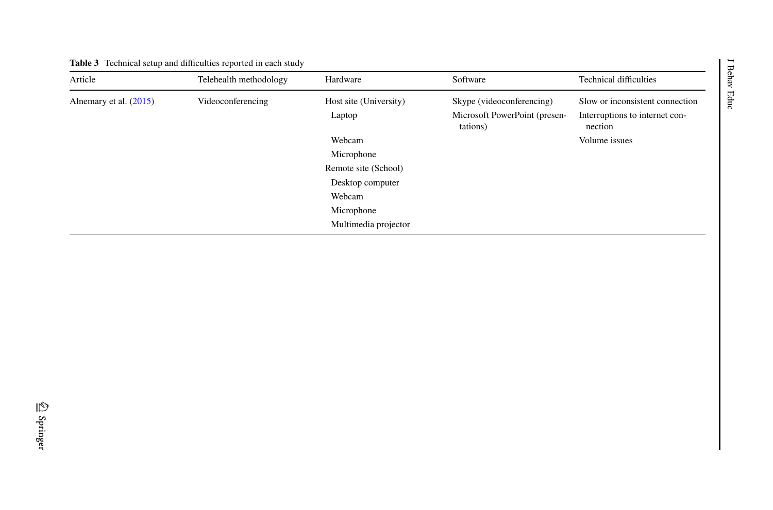|                        | <b>Table 3</b> Technical setup and difficulties reported in each study |                                                                                                                              |                                                                        |                                                                                               | ᢘ            |
|------------------------|------------------------------------------------------------------------|------------------------------------------------------------------------------------------------------------------------------|------------------------------------------------------------------------|-----------------------------------------------------------------------------------------------|--------------|
| Article                | Telehealth methodology                                                 | Hardware                                                                                                                     | Software                                                               | <b>Technical difficulties</b>                                                                 | еq<br>p<br>≺ |
| Alnemary et al. (2015) | Videoconferencing                                                      | Host site (University)<br>Laptop<br>Webcam<br>Microphone<br>Remote site (School)<br>Desktop computer<br>Webcam<br>Microphone | Skype (videoconferencing)<br>Microsoft PowerPoint (presen-<br>tations) | Slow or inconsistent connection<br>Interruptions to internet con-<br>nection<br>Volume issues | Educ         |
|                        |                                                                        | Multimedia projector                                                                                                         |                                                                        |                                                                                               |              |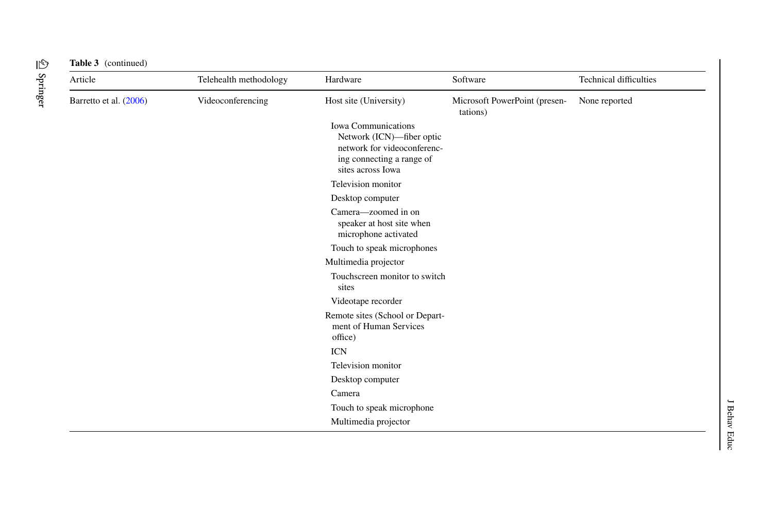| Article                | Telehealth methodology | Hardware                                                                                                                                 | Software                                  | Technical difficulties |
|------------------------|------------------------|------------------------------------------------------------------------------------------------------------------------------------------|-------------------------------------------|------------------------|
| Barretto et al. (2006) | Videoconferencing      | Host site (University)                                                                                                                   | Microsoft PowerPoint (presen-<br>tations) | None reported          |
|                        |                        | <b>Iowa Communications</b><br>Network (ICN)-fiber optic<br>network for videoconferenc-<br>ing connecting a range of<br>sites across Iowa |                                           |                        |
|                        |                        | Television monitor                                                                                                                       |                                           |                        |
|                        |                        | Desktop computer                                                                                                                         |                                           |                        |
|                        |                        | Camera—zoomed in on<br>speaker at host site when<br>microphone activated                                                                 |                                           |                        |
|                        |                        | Touch to speak microphones                                                                                                               |                                           |                        |
|                        |                        | Multimedia projector                                                                                                                     |                                           |                        |
|                        |                        | Touchscreen monitor to switch<br>sites                                                                                                   |                                           |                        |
|                        |                        | Videotape recorder                                                                                                                       |                                           |                        |
|                        |                        | Remote sites (School or Depart-<br>ment of Human Services<br>office)                                                                     |                                           |                        |
|                        |                        | <b>ICN</b>                                                                                                                               |                                           |                        |
|                        |                        | Television monitor                                                                                                                       |                                           |                        |
|                        |                        | Desktop computer                                                                                                                         |                                           |                        |
|                        |                        | Camera                                                                                                                                   |                                           |                        |
|                        |                        | Touch to speak microphone                                                                                                                |                                           |                        |
|                        |                        | Multimedia projector                                                                                                                     |                                           |                        |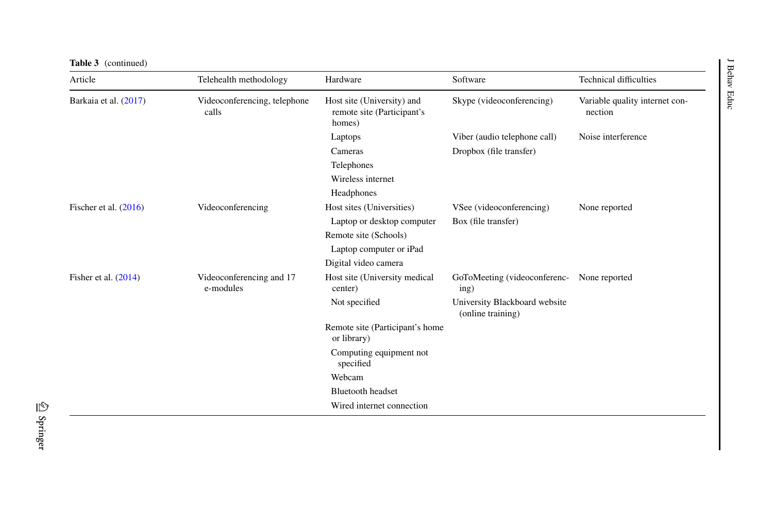| Article                 | Telehealth methodology                | Hardware                                                           | Software                                           | <b>Technical difficulties</b>             |
|-------------------------|---------------------------------------|--------------------------------------------------------------------|----------------------------------------------------|-------------------------------------------|
| Barkaia et al. (2017)   | Videoconferencing, telephone<br>calls | Host site (University) and<br>remote site (Participant's<br>homes) | Skype (videoconferencing)                          | Variable quality internet con-<br>nection |
|                         |                                       | Laptops                                                            | Viber (audio telephone call)                       | Noise interference                        |
|                         |                                       | Cameras                                                            | Dropbox (file transfer)                            |                                           |
|                         | Telephones                            |                                                                    |                                                    |                                           |
|                         |                                       | Wireless internet                                                  |                                                    |                                           |
|                         |                                       | Headphones                                                         |                                                    |                                           |
| Fischer et al. $(2016)$ | Videoconferencing                     | Host sites (Universities)                                          | VSee (videoconferencing)                           | None reported                             |
|                         |                                       | Laptop or desktop computer                                         | Box (file transfer)                                |                                           |
|                         |                                       | Remote site (Schools)                                              |                                                    |                                           |
|                         |                                       | Laptop computer or iPad                                            |                                                    |                                           |
|                         |                                       | Digital video camera                                               |                                                    |                                           |
| Fisher et al. $(2014)$  | Videoconferencing and 17<br>e-modules | Host site (University medical<br>center)                           | GoToMeeting (videoconferenc-<br>ing)               | None reported                             |
|                         |                                       | Not specified                                                      | University Blackboard website<br>(online training) |                                           |
|                         |                                       | Remote site (Participant's home<br>or library)                     |                                                    |                                           |
|                         |                                       | Computing equipment not<br>specified                               |                                                    |                                           |
|                         |                                       | Webcam                                                             |                                                    |                                           |
|                         |                                       | <b>Bluetooth headset</b>                                           |                                                    |                                           |
|                         |                                       | Wired internet connection                                          |                                                    |                                           |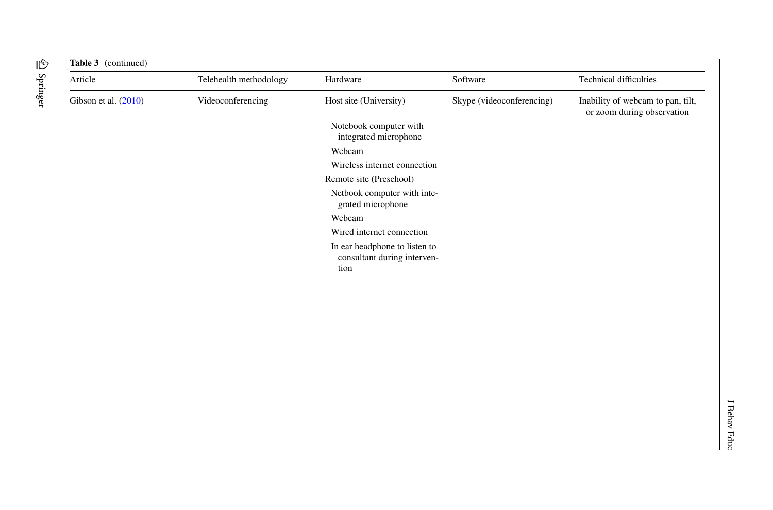| Article                | Telehealth methodology | Hardware                                                             | Software                  | <b>Technical difficulties</b>                                   |
|------------------------|------------------------|----------------------------------------------------------------------|---------------------------|-----------------------------------------------------------------|
| Gibson et al. $(2010)$ | Videoconferencing      | Host site (University)                                               | Skype (videoconferencing) | Inability of webcam to pan, tilt,<br>or zoom during observation |
|                        |                        | Notebook computer with<br>integrated microphone                      |                           |                                                                 |
|                        |                        | Webcam                                                               |                           |                                                                 |
|                        |                        | Wireless internet connection                                         |                           |                                                                 |
|                        |                        | Remote site (Preschool)                                              |                           |                                                                 |
|                        |                        | Netbook computer with inte-<br>grated microphone                     |                           |                                                                 |
|                        |                        | Webcam                                                               |                           |                                                                 |
|                        |                        | Wired internet connection                                            |                           |                                                                 |
|                        |                        | In ear headphone to listen to<br>consultant during interven-<br>tion |                           |                                                                 |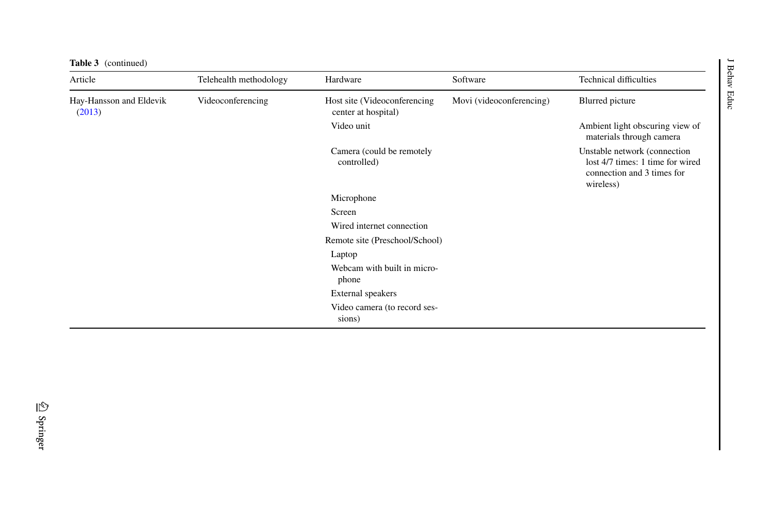| <b>Table 3</b> (continued)        |                        |                                                      |                          |                                                                                                             | $\overline{\phantom{0}}$ |
|-----------------------------------|------------------------|------------------------------------------------------|--------------------------|-------------------------------------------------------------------------------------------------------------|--------------------------|
| Article                           | Telehealth methodology | Hardware                                             | Software                 | <b>Technical difficulties</b>                                                                               | Behav                    |
| Hay-Hansson and Eldevik<br>(2013) | Videoconferencing      | Host site (Videoconferencing)<br>center at hospital) | Movi (videoconferencing) | Blurred picture                                                                                             | Educ                     |
|                                   |                        | Video unit                                           |                          | Ambient light obscuring view of<br>materials through camera                                                 |                          |
|                                   |                        | Camera (could be remotely<br>controlled)             |                          | Unstable network (connection<br>lost 4/7 times: 1 time for wired<br>connection and 3 times for<br>wireless) |                          |
|                                   |                        | Microphone                                           |                          |                                                                                                             |                          |
|                                   |                        | Screen                                               |                          |                                                                                                             |                          |
|                                   |                        | Wired internet connection                            |                          |                                                                                                             |                          |
|                                   |                        | Remote site (Preschool/School)                       |                          |                                                                                                             |                          |
|                                   |                        | Laptop                                               |                          |                                                                                                             |                          |
|                                   |                        | Webcam with built in micro-<br>phone                 |                          |                                                                                                             |                          |
|                                   |                        | External speakers                                    |                          |                                                                                                             |                          |
|                                   |                        | Video camera (to record ses-<br>sions)               |                          |                                                                                                             |                          |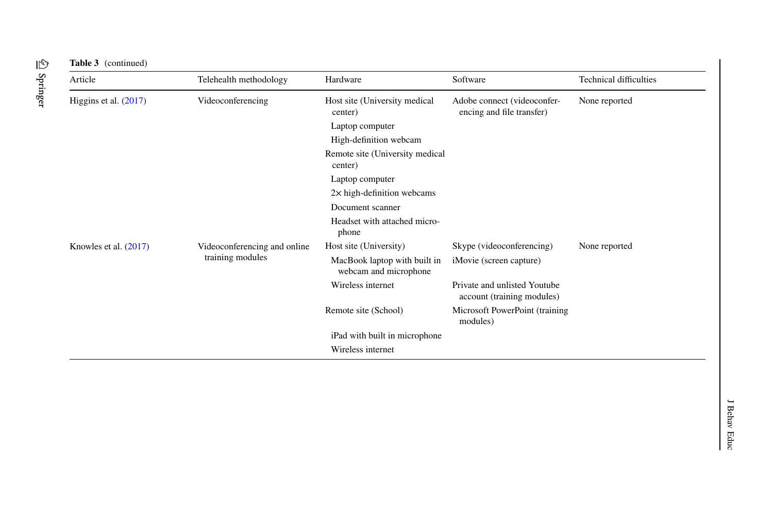| Article                 | Telehealth methodology       | Hardware                                              | Software                                                   | <b>Technical difficulties</b> |
|-------------------------|------------------------------|-------------------------------------------------------|------------------------------------------------------------|-------------------------------|
| Higgins et al. $(2017)$ | Videoconferencing            | Host site (University medical<br>center)              | Adobe connect (videoconfer-<br>encing and file transfer)   | None reported                 |
|                         |                              | Laptop computer                                       |                                                            |                               |
|                         |                              | High-definition webcam                                |                                                            |                               |
|                         |                              | Remote site (University medical<br>center)            |                                                            |                               |
|                         |                              | Laptop computer                                       |                                                            |                               |
|                         |                              | $2\times$ high-definition webcams                     |                                                            |                               |
|                         |                              | Document scanner                                      |                                                            |                               |
|                         |                              | Headset with attached micro-<br>phone                 |                                                            |                               |
| Knowles et al. $(2017)$ | Videoconferencing and online | Host site (University)                                | Skype (videoconferencing)                                  | None reported                 |
|                         | training modules             | MacBook laptop with built in<br>webcam and microphone | iMovie (screen capture)                                    |                               |
|                         |                              | Wireless internet                                     | Private and unlisted Youtube<br>account (training modules) |                               |
|                         |                              | Remote site (School)                                  | Microsoft PowerPoint (training<br>modules)                 |                               |
|                         |                              | iPad with built in microphone                         |                                                            |                               |
|                         |                              | Wireless internet                                     |                                                            |                               |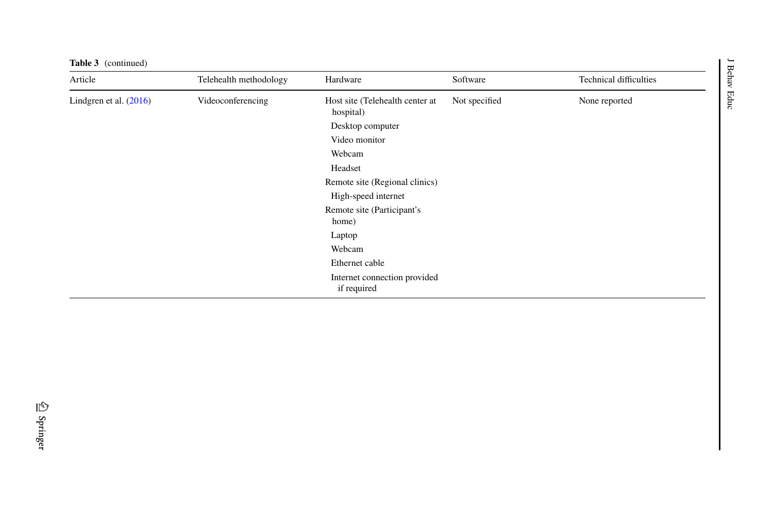| <b>Table 3</b> (continued) |                        |                                              |               |                               | $\overline{\phantom{0}}$ |
|----------------------------|------------------------|----------------------------------------------|---------------|-------------------------------|--------------------------|
| Article                    | Telehealth methodology | Hardware                                     | Software      | <b>Technical difficulties</b> | Behav                    |
| Lindgren et al. $(2016)$   | Videoconferencing      | Host site (Telehealth center at<br>hospital) | Not specified | None reported                 | Educ                     |
|                            |                        | Desktop computer                             |               |                               |                          |
|                            |                        | Video monitor                                |               |                               |                          |
|                            |                        | Webcam                                       |               |                               |                          |
|                            |                        | Headset                                      |               |                               |                          |
|                            |                        | Remote site (Regional clinics)               |               |                               |                          |
|                            |                        | High-speed internet                          |               |                               |                          |
|                            |                        | Remote site (Participant's<br>home)          |               |                               |                          |
|                            |                        | Laptop                                       |               |                               |                          |
|                            |                        | Webcam                                       |               |                               |                          |
|                            |                        | Ethernet cable                               |               |                               |                          |
|                            |                        | Internet connection provided<br>if required  |               |                               |                          |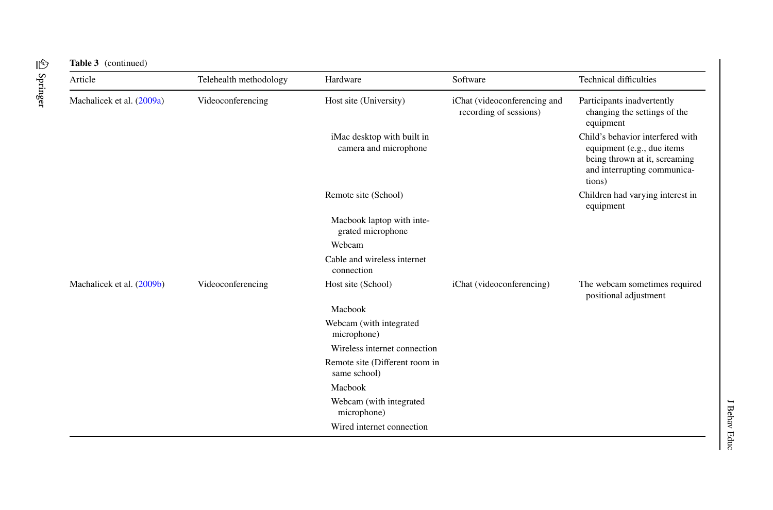|  | <b>Table 3</b> (continued |
|--|---------------------------|
|--|---------------------------|

| Article                   | Telehealth methodology | Hardware                                            | Software                                               | <b>Technical difficulties</b>                                                                                                            |
|---------------------------|------------------------|-----------------------------------------------------|--------------------------------------------------------|------------------------------------------------------------------------------------------------------------------------------------------|
| Machalicek et al. (2009a) | Videoconferencing      | Host site (University)                              | iChat (videoconferencing and<br>recording of sessions) | Participants inadvertently<br>changing the settings of the<br>equipment                                                                  |
|                           |                        | iMac desktop with built in<br>camera and microphone |                                                        | Child's behavior interfered with<br>equipment (e.g., due items<br>being thrown at it, screaming<br>and interrupting communica-<br>tions) |
|                           |                        | Remote site (School)                                |                                                        | Children had varying interest in<br>equipment                                                                                            |
|                           |                        | Macbook laptop with inte-<br>grated microphone      |                                                        |                                                                                                                                          |
|                           |                        | Webcam                                              |                                                        |                                                                                                                                          |
|                           |                        | Cable and wireless internet<br>connection           |                                                        |                                                                                                                                          |
| Machalicek et al. (2009b) | Videoconferencing      | Host site (School)                                  | iChat (videoconferencing)                              | The webcam sometimes required<br>positional adjustment                                                                                   |
|                           |                        | Macbook                                             |                                                        |                                                                                                                                          |
|                           |                        | Webcam (with integrated<br>microphone)              |                                                        |                                                                                                                                          |
|                           |                        | Wireless internet connection                        |                                                        |                                                                                                                                          |
|                           |                        | Remote site (Different room in<br>same school)      |                                                        |                                                                                                                                          |
|                           |                        | Macbook                                             |                                                        |                                                                                                                                          |
|                           |                        | Webcam (with integrated<br>microphone)              |                                                        |                                                                                                                                          |
|                           |                        | Wired internet connection                           |                                                        |                                                                                                                                          |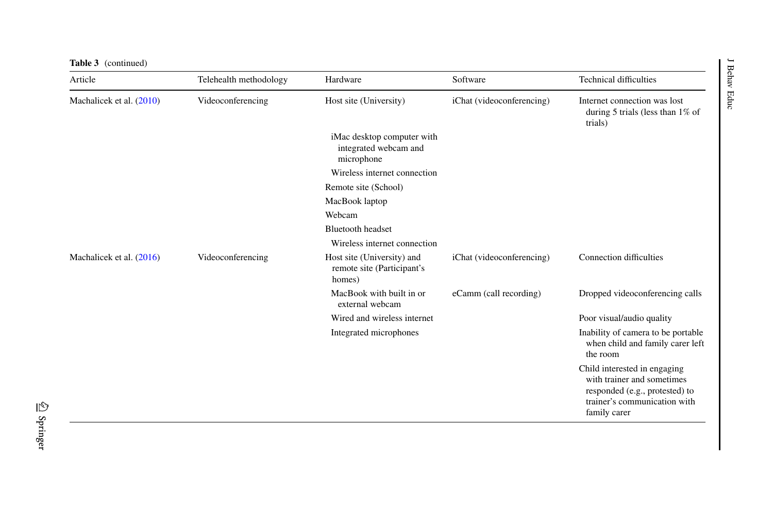| Table 3 (continued)      |                        |                                                                    |                           |                                                                                                                                              |
|--------------------------|------------------------|--------------------------------------------------------------------|---------------------------|----------------------------------------------------------------------------------------------------------------------------------------------|
| Article                  | Telehealth methodology | Hardware                                                           | Software                  | <b>Technical difficulties</b>                                                                                                                |
| Machalicek et al. (2010) | Videoconferencing      | Host site (University)                                             | iChat (videoconferencing) | Internet connection was lost<br>during 5 trials (less than $1\%$ of<br>trials)                                                               |
|                          |                        | iMac desktop computer with<br>integrated webcam and<br>microphone  |                           |                                                                                                                                              |
|                          |                        | Wireless internet connection                                       |                           |                                                                                                                                              |
|                          |                        | Remote site (School)                                               |                           |                                                                                                                                              |
|                          |                        | MacBook laptop                                                     |                           |                                                                                                                                              |
|                          |                        | Webcam                                                             |                           |                                                                                                                                              |
|                          |                        | <b>Bluetooth headset</b>                                           |                           |                                                                                                                                              |
|                          |                        | Wireless internet connection                                       |                           |                                                                                                                                              |
| Machalicek et al. (2016) | Videoconferencing      | Host site (University) and<br>remote site (Participant's<br>homes) | iChat (videoconferencing) | Connection difficulties                                                                                                                      |
|                          |                        | MacBook with built in or<br>external webcam                        | eCamm (call recording)    | Dropped videoconferencing calls                                                                                                              |
|                          |                        | Wired and wireless internet                                        |                           | Poor visual/audio quality                                                                                                                    |
|                          |                        | Integrated microphones                                             |                           | Inability of camera to be portable<br>when child and family carer left<br>the room                                                           |
|                          |                        |                                                                    |                           | Child interested in engaging<br>with trainer and sometimes<br>responded (e.g., protested) to<br>trainer's communication with<br>family carer |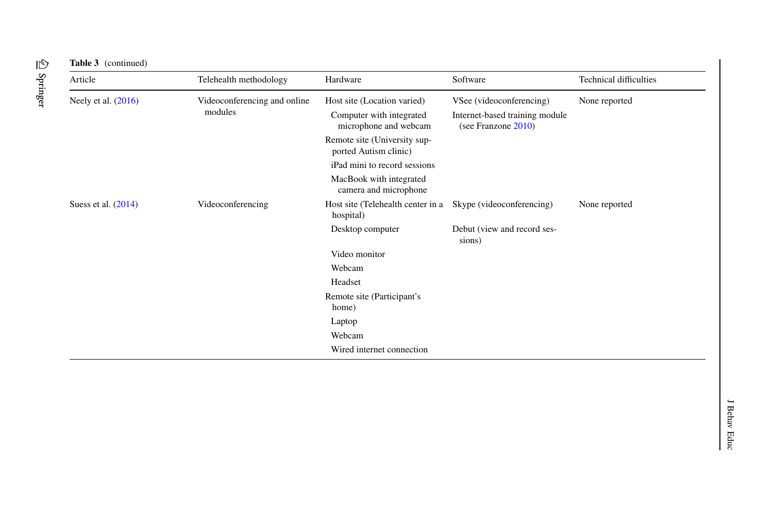| Article               | Telehealth methodology       | Hardware                                              | Software                                              | <b>Technical difficulties</b> |
|-----------------------|------------------------------|-------------------------------------------------------|-------------------------------------------------------|-------------------------------|
| Neely et al. $(2016)$ | Videoconferencing and online | Host site (Location varied)                           | VSee (videoconferencing)                              | None reported                 |
|                       | modules                      | Computer with integrated<br>microphone and webcam     | Internet-based training module<br>(see Franzone 2010) |                               |
|                       |                              | Remote site (University sup-<br>ported Autism clinic) |                                                       |                               |
|                       |                              | iPad mini to record sessions                          |                                                       |                               |
|                       |                              | MacBook with integrated<br>camera and microphone      |                                                       |                               |
| Suess et al. $(2014)$ | Videoconferencing            | Host site (Telehealth center in a<br>hospital)        | Skype (videoconferencing)                             | None reported                 |
|                       |                              | Desktop computer                                      | Debut (view and record ses-<br>sions)                 |                               |
|                       |                              | Video monitor                                         |                                                       |                               |
|                       |                              | Webcam                                                |                                                       |                               |
|                       |                              | Headset                                               |                                                       |                               |
|                       |                              | Remote site (Participant's                            |                                                       |                               |
|                       |                              | home)                                                 |                                                       |                               |
|                       |                              | Laptop                                                |                                                       |                               |
|                       |                              | Webcam                                                |                                                       |                               |
|                       |                              | Wired internet connection                             |                                                       |                               |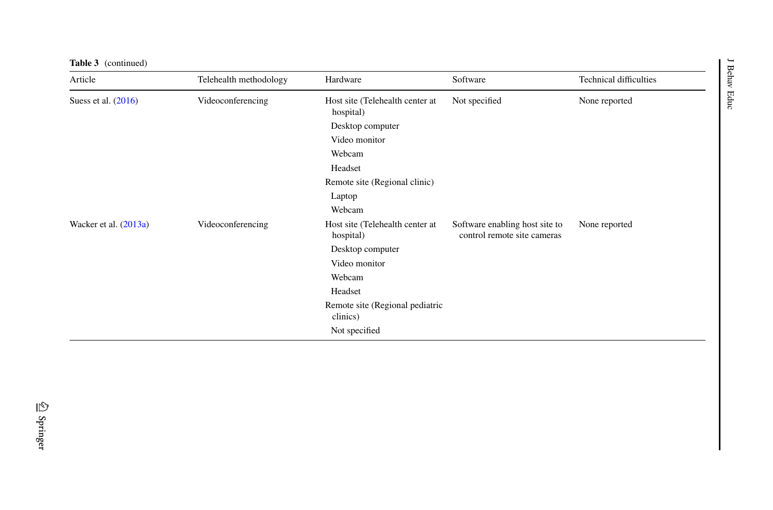| <b>Table 3</b> (continued) |                        |                                              |                                                               |                               | $\overline{\phantom{0}}$ |
|----------------------------|------------------------|----------------------------------------------|---------------------------------------------------------------|-------------------------------|--------------------------|
| Article                    | Telehealth methodology | Hardware                                     | Software                                                      | <b>Technical difficulties</b> | Behav                    |
| Suess et al. (2016)        | Videoconferencing      | Host site (Telehealth center at<br>hospital) | Not specified                                                 | None reported                 | Educ                     |
|                            |                        | Desktop computer                             |                                                               |                               |                          |
|                            |                        | Video monitor                                |                                                               |                               |                          |
|                            |                        | Webcam                                       |                                                               |                               |                          |
|                            |                        | Headset                                      |                                                               |                               |                          |
|                            |                        | Remote site (Regional clinic)                |                                                               |                               |                          |
|                            |                        | Laptop                                       |                                                               |                               |                          |
|                            |                        | Webcam                                       |                                                               |                               |                          |
| Wacker et al. (2013a)      | Videoconferencing      | Host site (Telehealth center at<br>hospital) | Software enabling host site to<br>control remote site cameras | None reported                 |                          |
|                            |                        | Desktop computer                             |                                                               |                               |                          |
|                            |                        | Video monitor                                |                                                               |                               |                          |
|                            |                        | Webcam                                       |                                                               |                               |                          |
|                            |                        | Headset                                      |                                                               |                               |                          |
|                            |                        | Remote site (Regional pediatric<br>clinics)  |                                                               |                               |                          |
|                            |                        | Not specified                                |                                                               |                               |                          |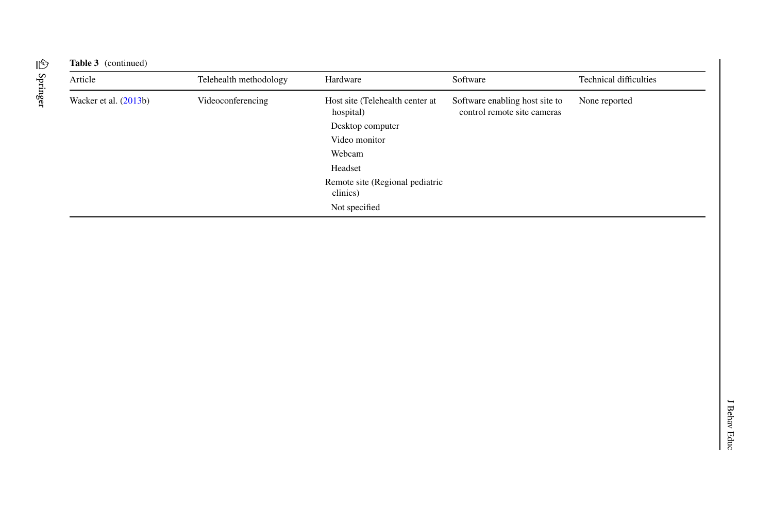| Article                 | Telehealth methodology | Hardware                                     | Software                                                      | <b>Technical difficulties</b> |
|-------------------------|------------------------|----------------------------------------------|---------------------------------------------------------------|-------------------------------|
| Wacker et al. $(2013b)$ | Videoconferencing      | Host site (Telehealth center at<br>hospital) | Software enabling host site to<br>control remote site cameras | None reported                 |
|                         |                        | Desktop computer                             |                                                               |                               |
|                         |                        | Video monitor                                |                                                               |                               |
|                         |                        | Webcam                                       |                                                               |                               |
|                         |                        | Headset                                      |                                                               |                               |
|                         |                        | Remote site (Regional pediatric<br>clinics)  |                                                               |                               |
|                         |                        | Not specified                                |                                                               |                               |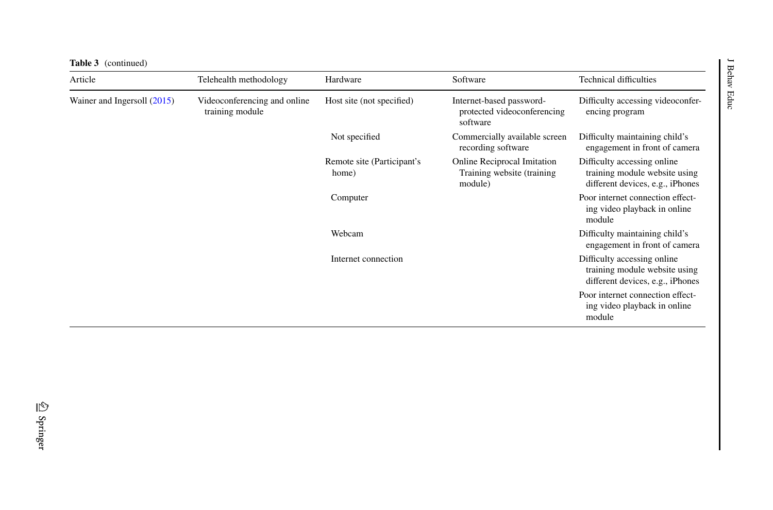| <b>Table 3</b> (continued)  |                                                 |                                     |                                                                              |                                                                                                  |
|-----------------------------|-------------------------------------------------|-------------------------------------|------------------------------------------------------------------------------|--------------------------------------------------------------------------------------------------|
| Article                     | Telehealth methodology                          | Hardware                            | Software                                                                     | <b>Technical difficulties</b>                                                                    |
| Wainer and Ingersoll (2015) | Videoconferencing and online<br>training module | Host site (not specified)           | Internet-based password-<br>protected videoconferencing<br>software          | Difficulty accessing videoconfer-<br>encing program                                              |
|                             |                                                 | Not specified                       | Commercially available screen<br>recording software                          | Difficulty maintaining child's<br>engagement in front of camera                                  |
|                             |                                                 | Remote site (Participant's<br>home) | <b>Online Reciprocal Imitation</b><br>Training website (training)<br>module) | Difficulty accessing online<br>training module website using<br>different devices, e.g., iPhones |
|                             |                                                 | Computer                            |                                                                              | Poor internet connection effect-<br>ing video playback in online<br>module                       |
|                             |                                                 | Webcam                              |                                                                              | Difficulty maintaining child's<br>engagement in front of camera                                  |
|                             |                                                 | Internet connection                 |                                                                              | Difficulty accessing online<br>training module website using<br>different devices, e.g., iPhones |
|                             |                                                 |                                     |                                                                              | Poor internet connection effect-<br>ing video playback in online<br>module                       |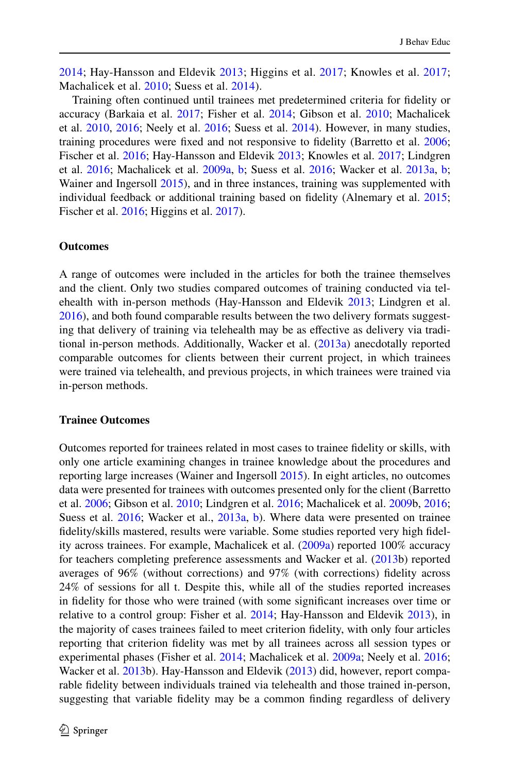[2014;](#page-46-11) Hay-Hansson and Eldevik [2013;](#page-47-10) Higgins et al. [2017](#page-47-11); Knowles et al. [2017;](#page-48-12) Machalicek et al. [2010;](#page-48-13) Suess et al. [2014](#page-49-16)).

Training often continued until trainees met predetermined criteria for idelity or accuracy (Barkaia et al. [2017;](#page-46-13) Fisher et al. [2014](#page-46-11); Gibson et al. [2010](#page-47-12); Machalicek et al. [2010](#page-48-13), [2016](#page-48-11); Neely et al. [2016](#page-49-14); Suess et al. [2014\)](#page-49-16). However, in many studies, training procedures were fixed and not responsive to fidelity (Barretto et al. [2006;](#page-46-12) Fischer et al. [2016;](#page-46-7) Hay-Hansson and Eldevik [2013;](#page-47-10) Knowles et al. [2017;](#page-48-12) Lindgren et al. [2016;](#page-48-8) Machalicek et al. [2009a](#page-48-10), [b](#page-48-9); Suess et al. [2016;](#page-49-15) Wacker et al. [2013a,](#page-50-8) [b;](#page-50-9) Wainer and Ingersoll [2015](#page-50-7)), and in three instances, training was supplemented with individual feedback or additional training based on fidelity (Alnemary et al. [2015;](#page-46-10) Fischer et al. [2016;](#page-46-7) Higgins et al. [2017\)](#page-47-11).

### **Outcomes**

A range of outcomes were included in the articles for both the trainee themselves and the client. Only two studies compared outcomes of training conducted via telehealth with in-person methods (Hay-Hansson and Eldevik [2013](#page-47-10); Lindgren et al. [2016](#page-48-8)), and both found comparable results between the two delivery formats suggesting that delivery of training via telehealth may be as efective as delivery via traditional in-person methods. Additionally, Wacker et al. [\(2013a\)](#page-50-8) anecdotally reported comparable outcomes for clients between their current project, in which trainees were trained via telehealth, and previous projects, in which trainees were trained via in-person methods.

### **Trainee Outcomes**

Outcomes reported for trainees related in most cases to trainee idelity or skills, with only one article examining changes in trainee knowledge about the procedures and reporting large increases (Wainer and Ingersoll [2015](#page-50-7)). In eight articles, no outcomes data were presented for trainees with outcomes presented only for the client (Barretto et al. [2006](#page-46-12); Gibson et al. [2010](#page-47-12); Lindgren et al. [2016;](#page-48-8) Machalicek et al. [2009](#page-48-9)b, [2016;](#page-48-11) Suess et al. [2016](#page-49-15); Wacker et al., [2013a](#page-50-8), [b](#page-50-9)). Where data were presented on trainee fidelity/skills mastered, results were variable. Some studies reported very high fidelity across trainees. For example, Machalicek et al. [\(2009a\)](#page-48-10) reported 100% accuracy for teachers completing preference assessments and Wacker et al. [\(2013](#page-50-9)b) reported averages of 96% (without corrections) and 97% (with corrections) idelity across 24% of sessions for all t. Despite this, while all of the studies reported increases in fidelity for those who were trained (with some significant increases over time or relative to a control group: Fisher et al. [2014;](#page-46-11) Hay-Hansson and Eldevik [2013](#page-47-10)), in the majority of cases trainees failed to meet criterion idelity, with only four articles reporting that criterion idelity was met by all trainees across all session types or experimental phases (Fisher et al. [2014](#page-46-11); Machalicek et al. [2009a](#page-48-10); Neely et al. [2016;](#page-49-14) Wacker et al. [2013b](#page-50-9)). Hay-Hansson and Eldevik ([2013\)](#page-47-10) did, however, report comparable fidelity between individuals trained via telehealth and those trained in-person, suggesting that variable idelity may be a common inding regardless of delivery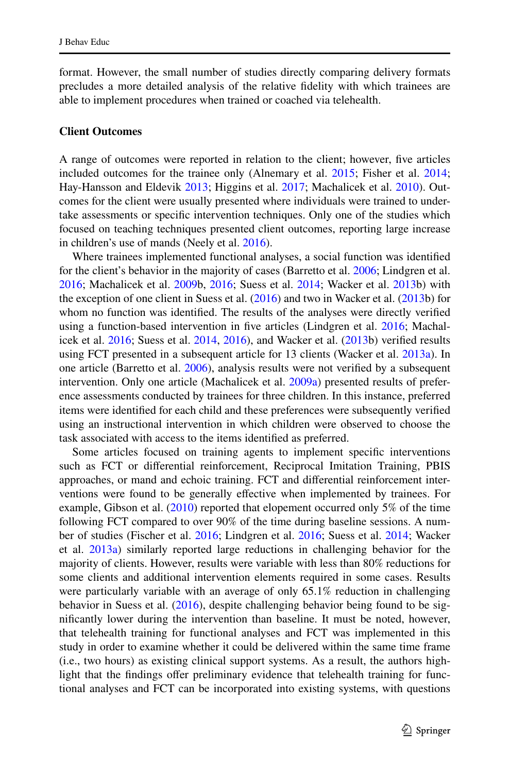format. However, the small number of studies directly comparing delivery formats precludes a more detailed analysis of the relative fidelity with which trainees are able to implement procedures when trained or coached via telehealth.

### **Client Outcomes**

A range of outcomes were reported in relation to the client; however, ive articles included outcomes for the trainee only (Alnemary et al. [2015](#page-46-10); Fisher et al. [2014;](#page-46-11) Hay-Hansson and Eldevik [2013](#page-47-10); Higgins et al. [2017;](#page-47-11) Machalicek et al. [2010](#page-48-13)). Outcomes for the client were usually presented where individuals were trained to undertake assessments or specific intervention techniques. Only one of the studies which focused on teaching techniques presented client outcomes, reporting large increase in children's use of mands (Neely et al. [2016](#page-49-14)).

Where trainees implemented functional analyses, a social function was identified for the client's behavior in the majority of cases (Barretto et al. [2006](#page-46-12); Lindgren et al. [2016](#page-48-8); Machalicek et al. [2009](#page-48-9)b, [2016;](#page-48-11) Suess et al. [2014](#page-49-16); Wacker et al. [2013b](#page-50-9)) with the exception of one client in Suess et al.  $(2016)$  $(2016)$  and two in Wacker et al.  $(2013b)$  $(2013b)$  for whom no function was identified. The results of the analyses were directly verified using a function-based intervention in ive articles (Lindgren et al. [2016;](#page-48-8) Machalicek et al.  $2016$ ; Suess et al.  $2014$ ,  $2016$ ), and Wacker et al.  $(2013b)$  $(2013b)$  $(2013b)$  verified results using FCT presented in a subsequent article for 13 clients (Wacker et al. [2013a](#page-50-8)). In one article (Barretto et al. [2006](#page-46-12)), analysis results were not verified by a subsequent intervention. Only one article (Machalicek et al. [2009a\)](#page-48-10) presented results of preference assessments conducted by trainees for three children. In this instance, preferred items were identified for each child and these preferences were subsequently verified using an instructional intervention in which children were observed to choose the task associated with access to the items identified as preferred.

Some articles focused on training agents to implement speciic interventions such as FCT or diferential reinforcement, Reciprocal Imitation Training, PBIS approaches, or mand and echoic training. FCT and diferential reinforcement interventions were found to be generally efective when implemented by trainees. For example, Gibson et al. ([2010\)](#page-47-12) reported that elopement occurred only 5% of the time following FCT compared to over 90% of the time during baseline sessions. A number of studies (Fischer et al. [2016](#page-46-7); Lindgren et al. [2016](#page-48-8); Suess et al. [2014](#page-49-16); Wacker et al. [2013a](#page-50-8)) similarly reported large reductions in challenging behavior for the majority of clients. However, results were variable with less than 80% reductions for some clients and additional intervention elements required in some cases. Results were particularly variable with an average of only 65.1% reduction in challenging behavior in Suess et al. [\(2016](#page-49-15)), despite challenging behavior being found to be significantly lower during the intervention than baseline. It must be noted, however, that telehealth training for functional analyses and FCT was implemented in this study in order to examine whether it could be delivered within the same time frame (i.e., two hours) as existing clinical support systems. As a result, the authors highlight that the findings offer preliminary evidence that telehealth training for functional analyses and FCT can be incorporated into existing systems, with questions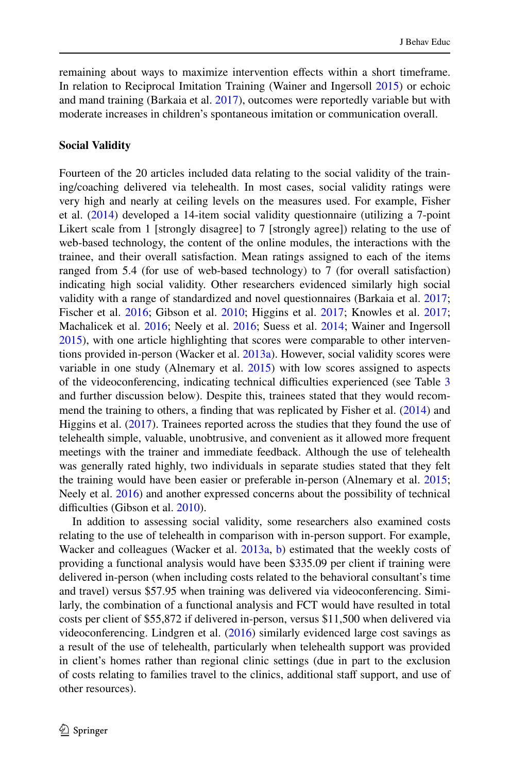remaining about ways to maximize intervention efects within a short timeframe. In relation to Reciprocal Imitation Training (Wainer and Ingersoll [2015](#page-50-7)) or echoic and mand training (Barkaia et al. [2017\)](#page-46-13), outcomes were reportedly variable but with moderate increases in children's spontaneous imitation or communication overall.

### **Social Validity**

Fourteen of the 20 articles included data relating to the social validity of the training/coaching delivered via telehealth. In most cases, social validity ratings were very high and nearly at ceiling levels on the measures used. For example, Fisher et al. ([2014\)](#page-46-11) developed a 14-item social validity questionnaire (utilizing a 7-point Likert scale from 1 [strongly disagree] to 7 [strongly agree]) relating to the use of web-based technology, the content of the online modules, the interactions with the trainee, and their overall satisfaction. Mean ratings assigned to each of the items ranged from 5.4 (for use of web-based technology) to 7 (for overall satisfaction) indicating high social validity. Other researchers evidenced similarly high social validity with a range of standardized and novel questionnaires (Barkaia et al. [2017;](#page-46-13) Fischer et al. [2016;](#page-46-7) Gibson et al. [2010;](#page-47-12) Higgins et al. [2017;](#page-47-11) Knowles et al. [2017;](#page-48-12) Machalicek et al. [2016](#page-48-11); Neely et al. [2016](#page-49-14); Suess et al. [2014;](#page-49-16) Wainer and Ingersoll [2015](#page-50-7)), with one article highlighting that scores were comparable to other interventions provided in-person (Wacker et al. [2013a\)](#page-50-8). However, social validity scores were variable in one study (Alnemary et al. [2015\)](#page-46-10) with low scores assigned to aspects of the videoconferencing, indicating technical difficulties experienced (see Table [3](#page-18-0) and further discussion below). Despite this, trainees stated that they would recom-mend the training to others, a finding that was replicated by Fisher et al. ([2014\)](#page-46-11) and Higgins et al. ([2017\)](#page-47-11). Trainees reported across the studies that they found the use of telehealth simple, valuable, unobtrusive, and convenient as it allowed more frequent meetings with the trainer and immediate feedback. Although the use of telehealth was generally rated highly, two individuals in separate studies stated that they felt the training would have been easier or preferable in-person (Alnemary et al. [2015;](#page-46-10) Neely et al. [2016\)](#page-49-14) and another expressed concerns about the possibility of technical difficulties (Gibson et al. [2010](#page-47-12)).

In addition to assessing social validity, some researchers also examined costs relating to the use of telehealth in comparison with in-person support. For example, Wacker and colleagues (Wacker et al. [2013a](#page-50-8), [b\)](#page-50-9) estimated that the weekly costs of providing a functional analysis would have been \$335.09 per client if training were delivered in-person (when including costs related to the behavioral consultant's time and travel) versus \$57.95 when training was delivered via videoconferencing. Similarly, the combination of a functional analysis and FCT would have resulted in total costs per client of \$55,872 if delivered in-person, versus \$11,500 when delivered via videoconferencing. Lindgren et al. ([2016\)](#page-48-8) similarly evidenced large cost savings as a result of the use of telehealth, particularly when telehealth support was provided in client's homes rather than regional clinic settings (due in part to the exclusion of costs relating to families travel to the clinics, additional staff support, and use of other resources).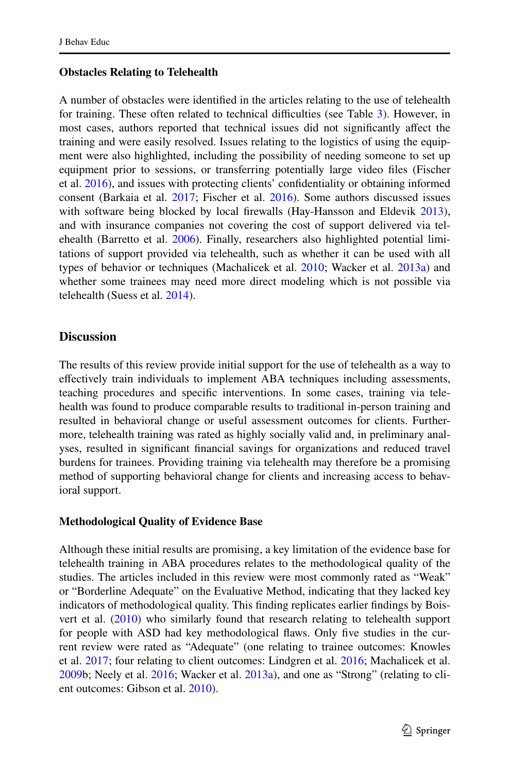### **Obstacles Relating to Telehealth**

A number of obstacles were identiied in the articles relating to the use of telehealth for training. These often related to technical difficulties (see Table [3](#page-18-0)). However, in most cases, authors reported that technical issues did not significantly affect the training and were easily resolved. Issues relating to the logistics of using the equipment were also highlighted, including the possibility of needing someone to set up equipment prior to sessions, or transferring potentially large video files (Fischer et al. [2016](#page-46-7)), and issues with protecting clients' confidentiality or obtaining informed consent (Barkaia et al. [2017](#page-46-13); Fischer et al. [2016\)](#page-46-7). Some authors discussed issues with software being blocked by local firewalls (Hay-Hansson and Eldevik [2013\)](#page-47-10), and with insurance companies not covering the cost of support delivered via tel-ehealth (Barretto et al. [2006\)](#page-46-12). Finally, researchers also highlighted potential limitations of support provided via telehealth, such as whether it can be used with all types of behavior or techniques (Machalicek et al. [2010;](#page-48-13) Wacker et al. [2013a](#page-50-8)) and whether some trainees may need more direct modeling which is not possible via telehealth (Suess et al. [2014\)](#page-49-16).

### **Discussion**

The results of this review provide initial support for the use of telehealth as a way to efectively train individuals to implement ABA techniques including assessments, teaching procedures and specific interventions. In some cases, training via telehealth was found to produce comparable results to traditional in-person training and resulted in behavioral change or useful assessment outcomes for clients. Furthermore, telehealth training was rated as highly socially valid and, in preliminary analyses, resulted in signiicant inancial savings for organizations and reduced travel burdens for trainees. Providing training via telehealth may therefore be a promising method of supporting behavioral change for clients and increasing access to behavioral support.

### **Methodological Quality of Evidence Base**

Although these initial results are promising, a key limitation of the evidence base for telehealth training in ABA procedures relates to the methodological quality of the studies. The articles included in this review were most commonly rated as "Weak" or "Borderline Adequate" on the Evaluative Method, indicating that they lacked key indicators of methodological quality. This finding replicates earlier findings by Boisvert et al. ([2010\)](#page-46-9) who similarly found that research relating to telehealth support for people with ASD had key methodological laws. Only ive studies in the current review were rated as "Adequate" (one relating to trainee outcomes: Knowles et al. [2017;](#page-48-12) four relating to client outcomes: Lindgren et al. [2016;](#page-48-8) Machalicek et al. [2009](#page-48-9)b; Neely et al. [2016](#page-49-14); Wacker et al. [2013a\)](#page-50-8), and one as "Strong" (relating to client outcomes: Gibson et al. [2010\)](#page-47-12).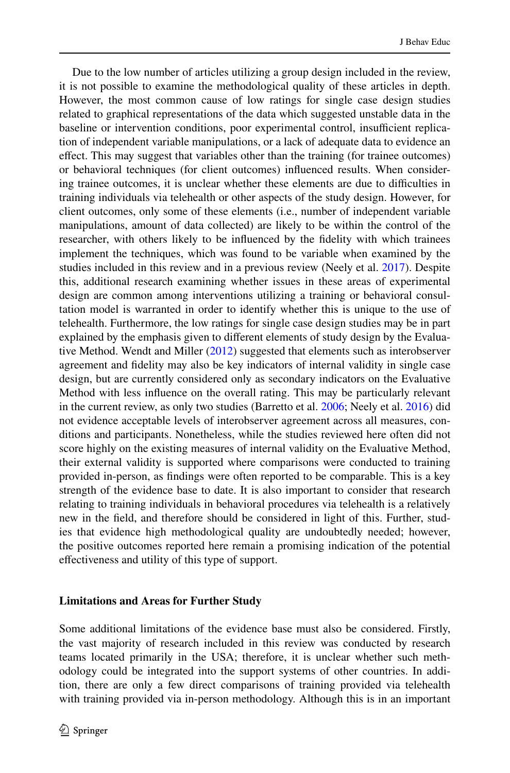Due to the low number of articles utilizing a group design included in the review, it is not possible to examine the methodological quality of these articles in depth. However, the most common cause of low ratings for single case design studies related to graphical representations of the data which suggested unstable data in the baseline or intervention conditions, poor experimental control, insufficient replication of independent variable manipulations, or a lack of adequate data to evidence an efect. This may suggest that variables other than the training (for trainee outcomes) or behavioral techniques (for client outcomes) inluenced results. When considering trainee outcomes, it is unclear whether these elements are due to difficulties in training individuals via telehealth or other aspects of the study design. However, for client outcomes, only some of these elements (i.e., number of independent variable manipulations, amount of data collected) are likely to be within the control of the researcher, with others likely to be inluenced by the idelity with which trainees implement the techniques, which was found to be variable when examined by the studies included in this review and in a previous review (Neely et al. [2017](#page-49-20)). Despite this, additional research examining whether issues in these areas of experimental design are common among interventions utilizing a training or behavioral consultation model is warranted in order to identify whether this is unique to the use of telehealth. Furthermore, the low ratings for single case design studies may be in part explained by the emphasis given to diferent elements of study design by the Evaluative Method. Wendt and Miller ([2012\)](#page-50-6) suggested that elements such as interobserver agreement and idelity may also be key indicators of internal validity in single case design, but are currently considered only as secondary indicators on the Evaluative Method with less inluence on the overall rating. This may be particularly relevant in the current review, as only two studies (Barretto et al. [2006;](#page-46-12) Neely et al. [2016\)](#page-49-14) did not evidence acceptable levels of interobserver agreement across all measures, conditions and participants. Nonetheless, while the studies reviewed here often did not score highly on the existing measures of internal validity on the Evaluative Method, their external validity is supported where comparisons were conducted to training provided in-person, as indings were often reported to be comparable. This is a key strength of the evidence base to date. It is also important to consider that research relating to training individuals in behavioral procedures via telehealth is a relatively new in the ield, and therefore should be considered in light of this. Further, studies that evidence high methodological quality are undoubtedly needed; however, the positive outcomes reported here remain a promising indication of the potential efectiveness and utility of this type of support.

### **Limitations and Areas for Further Study**

Some additional limitations of the evidence base must also be considered. Firstly, the vast majority of research included in this review was conducted by research teams located primarily in the USA; therefore, it is unclear whether such methodology could be integrated into the support systems of other countries. In addition, there are only a few direct comparisons of training provided via telehealth with training provided via in-person methodology. Although this is in an important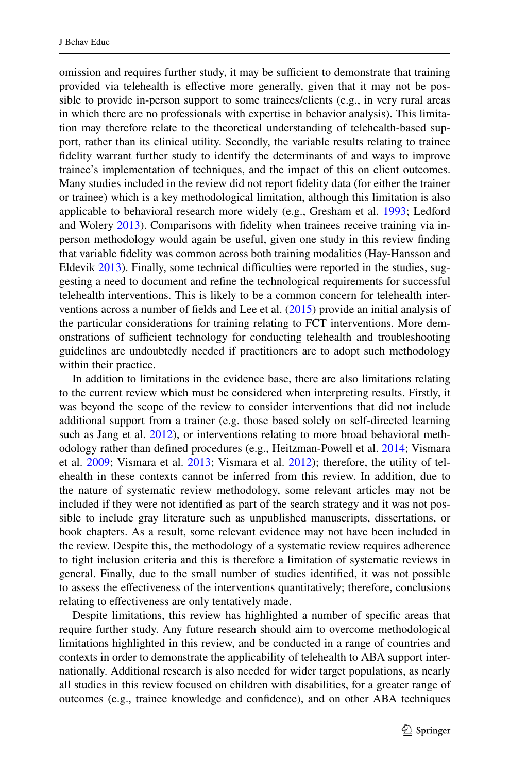omission and requires further study, it may be sufficient to demonstrate that training provided via telehealth is efective more generally, given that it may not be possible to provide in-person support to some trainees/clients (e.g., in very rural areas in which there are no professionals with expertise in behavior analysis). This limitation may therefore relate to the theoretical understanding of telehealth-based support, rather than its clinical utility. Secondly, the variable results relating to trainee fidelity warrant further study to identify the determinants of and ways to improve trainee's implementation of techniques, and the impact of this on client outcomes. Many studies included in the review did not report idelity data (for either the trainer or trainee) which is a key methodological limitation, although this limitation is also applicable to behavioral research more widely (e.g., Gresham et al. [1993](#page-47-17); Ledford and Wolery [2013\)](#page-48-20). Comparisons with fidelity when trainees receive training via inperson methodology would again be useful, given one study in this review finding that variable idelity was common across both training modalities (Hay-Hansson and Eldevik [2013\)](#page-47-10). Finally, some technical difficulties were reported in the studies, suggesting a need to document and refine the technological requirements for successful telehealth interventions. This is likely to be a common concern for telehealth interventions across a number of ields and Lee et al. [\(2015](#page-48-21)) provide an initial analysis of the particular considerations for training relating to FCT interventions. More demonstrations of sufficient technology for conducting telehealth and troubleshooting guidelines are undoubtedly needed if practitioners are to adopt such methodology within their practice.

In addition to limitations in the evidence base, there are also limitations relating to the current review which must be considered when interpreting results. Firstly, it was beyond the scope of the review to consider interventions that did not include additional support from a trainer (e.g. those based solely on self-directed learning such as Jang et al. [2012\)](#page-47-18), or interventions relating to more broad behavioral meth-odology rather than defined procedures (e.g., Heitzman-Powell et al. [2014](#page-47-19); Vismara et al. [2009;](#page-50-13) Vismara et al. [2013;](#page-50-14) Vismara et al. [2012\)](#page-50-15); therefore, the utility of telehealth in these contexts cannot be inferred from this review. In addition, due to the nature of systematic review methodology, some relevant articles may not be included if they were not identified as part of the search strategy and it was not possible to include gray literature such as unpublished manuscripts, dissertations, or book chapters. As a result, some relevant evidence may not have been included in the review. Despite this, the methodology of a systematic review requires adherence to tight inclusion criteria and this is therefore a limitation of systematic reviews in general. Finally, due to the small number of studies identified, it was not possible to assess the efectiveness of the interventions quantitatively; therefore, conclusions relating to efectiveness are only tentatively made.

Despite limitations, this review has highlighted a number of speciic areas that require further study. Any future research should aim to overcome methodological limitations highlighted in this review, and be conducted in a range of countries and contexts in order to demonstrate the applicability of telehealth to ABA support internationally. Additional research is also needed for wider target populations, as nearly all studies in this review focused on children with disabilities, for a greater range of outcomes (e.g., trainee knowledge and conidence), and on other ABA techniques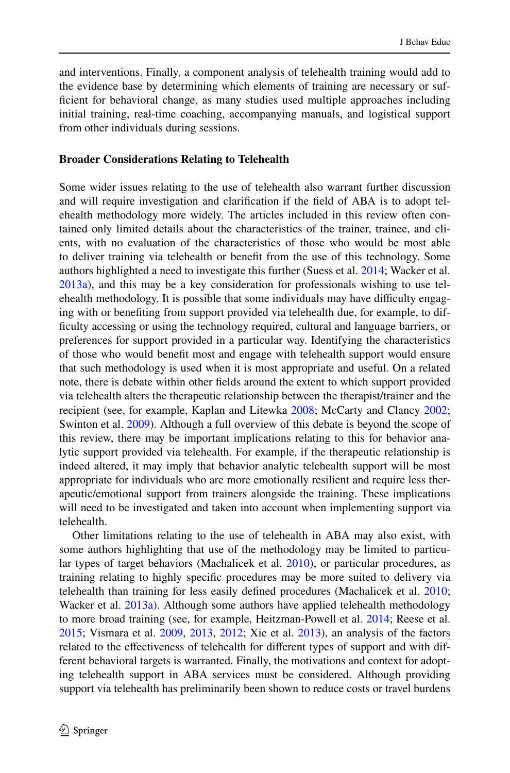and interventions. Finally, a component analysis of telehealth training would add to the evidence base by determining which elements of training are necessary or sufficient for behavioral change, as many studies used multiple approaches including initial training, real-time coaching, accompanying manuals, and logistical support from other individuals during sessions.

### **Broader Considerations Relating to Telehealth**

Some wider issues relating to the use of telehealth also warrant further discussion and will require investigation and clariication if the ield of ABA is to adopt telehealth methodology more widely. The articles included in this review often contained only limited details about the characteristics of the trainer, trainee, and clients, with no evaluation of the characteristics of those who would be most able to deliver training via telehealth or beneit from the use of this technology. Some authors highlighted a need to investigate this further (Suess et al. [2014](#page-49-16); Wacker et al. [2013a](#page-50-8)), and this may be a key consideration for professionals wishing to use telehealth methodology. It is possible that some individuals may have difficulty engaging with or benefiting from support provided via telehealth due, for example, to difficulty accessing or using the technology required, cultural and language barriers, or preferences for support provided in a particular way. Identifying the characteristics of those who would beneit most and engage with telehealth support would ensure that such methodology is used when it is most appropriate and useful. On a related note, there is debate within other ields around the extent to which support provided via telehealth alters the therapeutic relationship between the therapist/trainer and the recipient (see, for example, Kaplan and Litewka [2008](#page-47-20); McCarty and Clancy [2002;](#page-48-22) Swinton et al. [2009](#page-49-21)). Although a full overview of this debate is beyond the scope of this review, there may be important implications relating to this for behavior analytic support provided via telehealth. For example, if the therapeutic relationship is indeed altered, it may imply that behavior analytic telehealth support will be most appropriate for individuals who are more emotionally resilient and require less therapeutic/emotional support from trainers alongside the training. These implications will need to be investigated and taken into account when implementing support via telehealth.

Other limitations relating to the use of telehealth in ABA may also exist, with some authors highlighting that use of the methodology may be limited to particular types of target behaviors (Machalicek et al. [2010\)](#page-48-13), or particular procedures, as training relating to highly speciic procedures may be more suited to delivery via telehealth than training for less easily defined procedures (Machalicek et al. [2010;](#page-48-13) Wacker et al. [2013a](#page-50-8)). Although some authors have applied telehealth methodology to more broad training (see, for example, Heitzman-Powell et al. [2014;](#page-47-19) Reese et al. [2015](#page-49-6); Vismara et al. [2009,](#page-50-13) [2013,](#page-50-14) [2012](#page-50-15); Xie et al. [2013\)](#page-50-1), an analysis of the factors related to the efectiveness of telehealth for diferent types of support and with different behavioral targets is warranted. Finally, the motivations and context for adopting telehealth support in ABA services must be considered. Although providing support via telehealth has preliminarily been shown to reduce costs or travel burdens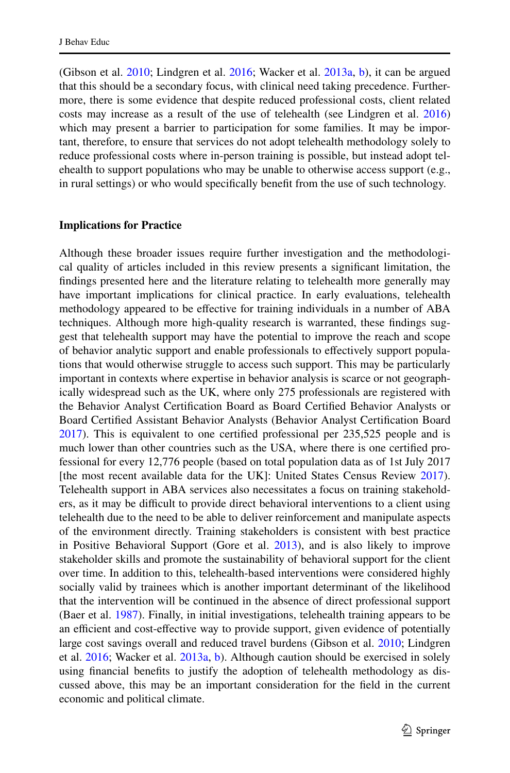(Gibson et al. [2010](#page-47-12); Lindgren et al. [2016;](#page-48-8) Wacker et al. [2013a,](#page-50-8) [b](#page-50-9)), it can be argued that this should be a secondary focus, with clinical need taking precedence. Furthermore, there is some evidence that despite reduced professional costs, client related costs may increase as a result of the use of telehealth (see Lindgren et al. [2016](#page-48-8)) which may present a barrier to participation for some families. It may be important, therefore, to ensure that services do not adopt telehealth methodology solely to reduce professional costs where in-person training is possible, but instead adopt telehealth to support populations who may be unable to otherwise access support (e.g., in rural settings) or who would specifically benefit from the use of such technology.

### **Implications for Practice**

<span id="page-39-0"></span>Although these broader issues require further investigation and the methodological quality of articles included in this review presents a significant limitation, the findings presented here and the literature relating to telehealth more generally may have important implications for clinical practice. In early evaluations, telehealth methodology appeared to be efective for training individuals in a number of ABA techniques. Although more high-quality research is warranted, these findings suggest that telehealth support may have the potential to improve the reach and scope of behavior analytic support and enable professionals to efectively support populations that would otherwise struggle to access such support. This may be particularly important in contexts where expertise in behavior analysis is scarce or not geographically widespread such as the UK, where only 275 professionals are registered with the Behavior Analyst Certification Board as Board Certified Behavior Analysts or Board Certified Assistant Behavior Analysts (Behavior Analyst Certification Board  $2017$ ). This is equivalent to one certified professional per  $235,525$  people and is much lower than other countries such as the USA, where there is one certified professional for every 12,776 people (based on total population data as of 1st July 2017 [the most recent available data for the UK]: United States Census Review [2017\)](#page-50-16). Telehealth support in ABA services also necessitates a focus on training stakeholders, as it may be difficult to provide direct behavioral interventions to a client using telehealth due to the need to be able to deliver reinforcement and manipulate aspects of the environment directly. Training stakeholders is consistent with best practice in Positive Behavioral Support (Gore et al. [2013](#page-47-9)), and is also likely to improve stakeholder skills and promote the sustainability of behavioral support for the client over time. In addition to this, telehealth-based interventions were considered highly socially valid by trainees which is another important determinant of the likelihood that the intervention will be continued in the absence of direct professional support (Baer et al. [1987](#page-46-20)). Finally, in initial investigations, telehealth training appears to be an efficient and cost-effective way to provide support, given evidence of potentially large cost savings overall and reduced travel burdens (Gibson et al. [2010;](#page-47-12) Lindgren et al. [2016;](#page-48-8) Wacker et al. [2013a,](#page-50-8) [b\)](#page-50-9). Although caution should be exercised in solely using financial benefits to justify the adoption of telehealth methodology as discussed above, this may be an important consideration for the ield in the current economic and political climate.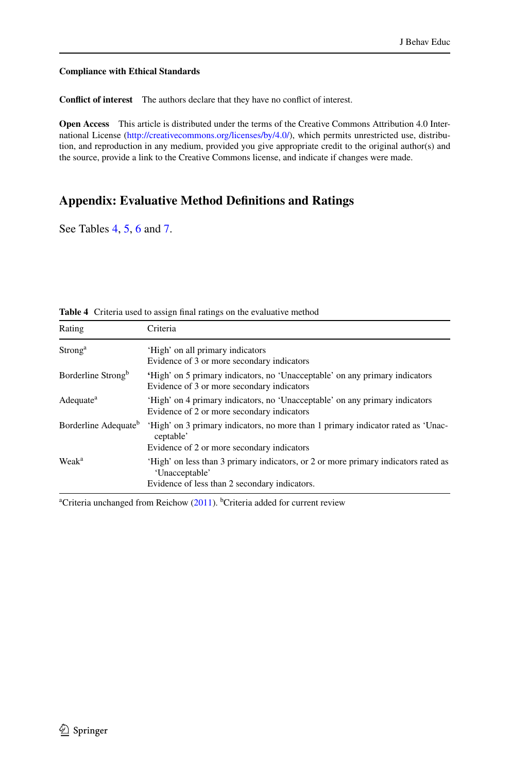### **Compliance with Ethical Standards**

**Conflict of interest** The authors declare that they have no conflict of interest.

**Open Access** This article is distributed under the terms of the Creative Commons Attribution 4.0 International License (http://creativecommons.org/licenses/by/4.0/), which permits unrestricted use, distribution, and reproduction in any medium, provided you give appropriate credit to the original author(s) and the source, provide a link to the Creative Commons license, and indicate if changes were made.

### **Appendix: Evaluative Method Deinitions and Ratings**

See Tables [4,](#page-39-0) [5,](#page-40-0) [6](#page-43-0) and [7](#page-44-0).

| Rating                           | Criteria                                                                                                                                              |
|----------------------------------|-------------------------------------------------------------------------------------------------------------------------------------------------------|
| Strong <sup>a</sup>              | 'High' on all primary indicators<br>Evidence of 3 or more secondary indicators                                                                        |
| Borderline Strong <sup>b</sup>   | 'High' on 5 primary indicators, no 'Unacceptable' on any primary indicators<br>Evidence of 3 or more secondary indicators                             |
| Adequate <sup>a</sup>            | 'High' on 4 primary indicators, no 'Unacceptable' on any primary indicators<br>Evidence of 2 or more secondary indicators                             |
| Borderline Adequate <sup>b</sup> | 'High' on 3 primary indicators, no more than 1 primary indicator rated as 'Unac-<br>ceptable'                                                         |
|                                  | Evidence of 2 or more secondary indicators                                                                                                            |
| Weak <sup>a</sup>                | 'High' on less than 3 primary indicators, or 2 or more primary indicators rated as<br>'Unacceptable'<br>Evidence of less than 2 secondary indicators. |

**Table 4** Criteria used to assign final ratings on the evaluative method

<span id="page-40-0"></span><sup>a</sup>Criteria unchanged from Reichow [\(2011](#page-49-1)). <sup>b</sup>Criteria added for current review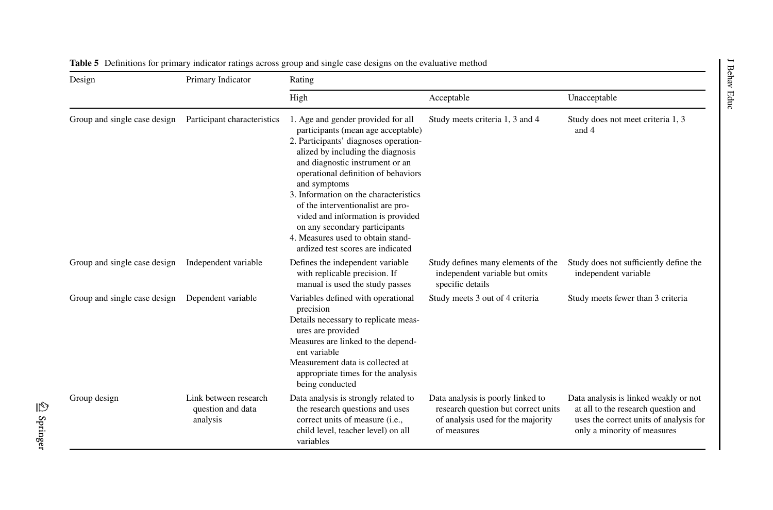| Design                       | Primary Indicator                                      | Rating                                                                                                                                                                                                                                                                                                                                                                                                                                                                         |                                                                                                                              |                                                                                                                                                       |  |  |
|------------------------------|--------------------------------------------------------|--------------------------------------------------------------------------------------------------------------------------------------------------------------------------------------------------------------------------------------------------------------------------------------------------------------------------------------------------------------------------------------------------------------------------------------------------------------------------------|------------------------------------------------------------------------------------------------------------------------------|-------------------------------------------------------------------------------------------------------------------------------------------------------|--|--|
|                              |                                                        | High                                                                                                                                                                                                                                                                                                                                                                                                                                                                           | Acceptable                                                                                                                   | Unacceptable                                                                                                                                          |  |  |
| Group and single case design | Participant characteristics                            | 1. Age and gender provided for all<br>participants (mean age acceptable)<br>2. Participants' diagnoses operation-<br>alized by including the diagnosis<br>and diagnostic instrument or an<br>operational definition of behaviors<br>and symptoms<br>3. Information on the characteristics<br>of the interventionalist are pro-<br>vided and information is provided<br>on any secondary participants<br>4. Measures used to obtain stand-<br>ardized test scores are indicated | Study meets criteria 1, 3 and 4                                                                                              | Study does not meet criteria 1, 3<br>and 4                                                                                                            |  |  |
| Group and single case design | Independent variable                                   | Defines the independent variable<br>with replicable precision. If<br>manual is used the study passes                                                                                                                                                                                                                                                                                                                                                                           | Study defines many elements of the<br>independent variable but omits<br>specific details                                     | Study does not sufficiently define the<br>independent variable                                                                                        |  |  |
| Group and single case design | Dependent variable                                     | Variables defined with operational<br>precision<br>Details necessary to replicate meas-<br>ures are provided<br>Measures are linked to the depend-<br>ent variable<br>Measurement data is collected at<br>appropriate times for the analysis<br>being conducted                                                                                                                                                                                                                | Study meets 3 out of 4 criteria                                                                                              | Study meets fewer than 3 criteria                                                                                                                     |  |  |
| Group design                 | Link between research<br>question and data<br>analysis | Data analysis is strongly related to<br>the research questions and uses<br>correct units of measure (i.e.,<br>child level, teacher level) on all<br>variables                                                                                                                                                                                                                                                                                                                  | Data analysis is poorly linked to<br>research question but correct units<br>of analysis used for the majority<br>of measures | Data analysis is linked weakly or not<br>at all to the research question and<br>uses the correct units of analysis for<br>only a minority of measures |  |  |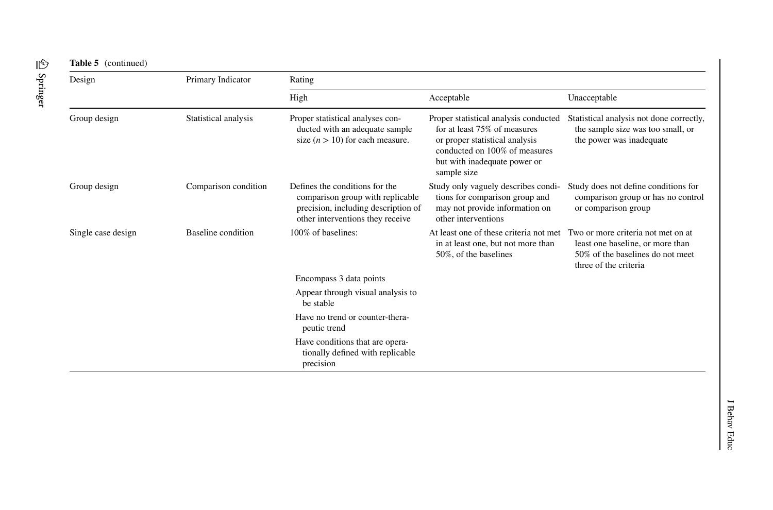| Design             | Primary Indicator    | Rating                                                                                                                                        |                                                                                                                                                                                         |                                                                                                                                     |  |  |  |  |
|--------------------|----------------------|-----------------------------------------------------------------------------------------------------------------------------------------------|-----------------------------------------------------------------------------------------------------------------------------------------------------------------------------------------|-------------------------------------------------------------------------------------------------------------------------------------|--|--|--|--|
|                    |                      | High                                                                                                                                          | Acceptable                                                                                                                                                                              | Unacceptable                                                                                                                        |  |  |  |  |
| Group design       | Statistical analysis | Proper statistical analyses con-<br>ducted with an adequate sample<br>size $(n > 10)$ for each measure.                                       | Proper statistical analysis conducted<br>for at least 75% of measures<br>or proper statistical analysis<br>conducted on 100% of measures<br>but with inadequate power or<br>sample size | Statistical analysis not done correctly,<br>the sample size was too small, or<br>the power was inadequate                           |  |  |  |  |
| Group design       | Comparison condition | Defines the conditions for the<br>comparison group with replicable<br>precision, including description of<br>other interventions they receive | Study only vaguely describes condi-<br>tions for comparison group and<br>may not provide information on<br>other interventions                                                          | Study does not define conditions for<br>comparison group or has no control<br>or comparison group                                   |  |  |  |  |
| Single case design | Baseline condition   | 100% of baselines:                                                                                                                            | At least one of these criteria not met.<br>in at least one, but not more than<br>50%, of the baselines                                                                                  | Two or more criteria not met on at<br>least one baseline, or more than<br>50% of the baselines do not meet<br>three of the criteria |  |  |  |  |
|                    |                      | Encompass 3 data points                                                                                                                       |                                                                                                                                                                                         |                                                                                                                                     |  |  |  |  |
|                    |                      | Appear through visual analysis to<br>be stable                                                                                                |                                                                                                                                                                                         |                                                                                                                                     |  |  |  |  |
|                    |                      | Have no trend or counter-thera-<br>peutic trend                                                                                               |                                                                                                                                                                                         |                                                                                                                                     |  |  |  |  |
|                    |                      | Have conditions that are opera-<br>tionally defined with replicable<br>precision                                                              |                                                                                                                                                                                         |                                                                                                                                     |  |  |  |  |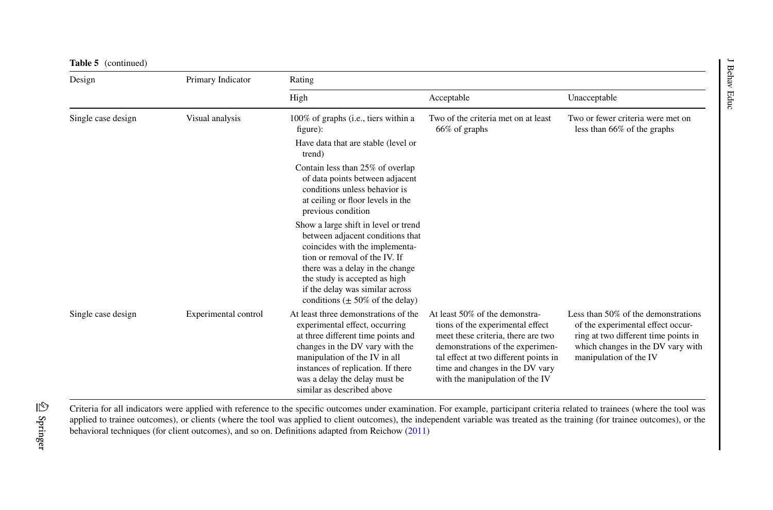| Design             | Primary Indicator    | Rating                                                                                                                                                                                                                                                                                     |                                                                                                                                                                                                                                                             |                                                                                                                                                                                 |
|--------------------|----------------------|--------------------------------------------------------------------------------------------------------------------------------------------------------------------------------------------------------------------------------------------------------------------------------------------|-------------------------------------------------------------------------------------------------------------------------------------------------------------------------------------------------------------------------------------------------------------|---------------------------------------------------------------------------------------------------------------------------------------------------------------------------------|
|                    |                      | High                                                                                                                                                                                                                                                                                       | Acceptable                                                                                                                                                                                                                                                  | Unacceptable                                                                                                                                                                    |
| Single case design | Visual analysis      | 100% of graphs (i.e., tiers within a<br>figure):<br>Have data that are stable (level or<br>trend)                                                                                                                                                                                          | Two of the criteria met on at least<br>66% of graphs                                                                                                                                                                                                        | Two or fewer criteria were met on<br>less than 66% of the graphs                                                                                                                |
|                    |                      | Contain less than 25% of overlap<br>of data points between adjacent<br>conditions unless behavior is<br>at ceiling or floor levels in the<br>previous condition                                                                                                                            |                                                                                                                                                                                                                                                             |                                                                                                                                                                                 |
|                    |                      | Show a large shift in level or trend<br>between adjacent conditions that<br>coincides with the implementa-<br>tion or removal of the IV. If<br>there was a delay in the change<br>the study is accepted as high<br>if the delay was similar across<br>conditions ( $\pm$ 50% of the delay) |                                                                                                                                                                                                                                                             |                                                                                                                                                                                 |
| Single case design | Experimental control | At least three demonstrations of the<br>experimental effect, occurring<br>at three different time points and<br>changes in the DV vary with the<br>manipulation of the IV in all<br>instances of replication. If there<br>was a delay the delay must be<br>similar as described above      | At least 50% of the demonstra-<br>tions of the experimental effect<br>meet these criteria, there are two<br>demonstrations of the experimen-<br>tal effect at two different points in<br>time and changes in the DV vary<br>with the manipulation of the IV | Less than 50% of the demonstrations<br>of the experimental effect occur-<br>ring at two different time points in<br>which changes in the DV vary with<br>manipulation of the IV |

<span id="page-43-0"></span>Criteria for all indicators were applied with reference to the specific outcomes under examination. For example, participant criteria related to trainees (where the tool was applied to trainee outcomes), or clients (where the tool was applied to client outcomes), the independent variable was treated as the training (for trainee outcomes), or the behavioral techniques (for client outcomes), and so on. Definitions adapted from Reichow ([2011\)](#page-49-22)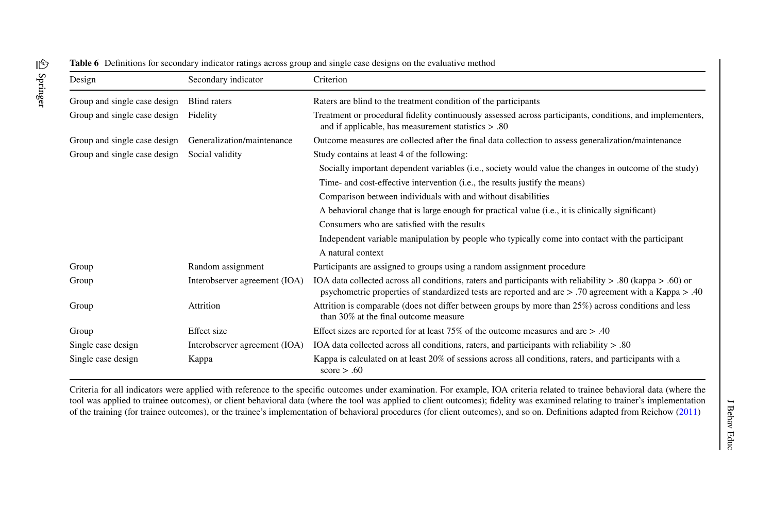| Design                       | Secondary indicator           | Criterion                                                                                                                                                                                                                     |
|------------------------------|-------------------------------|-------------------------------------------------------------------------------------------------------------------------------------------------------------------------------------------------------------------------------|
| Group and single case design | <b>Blind</b> raters           | Raters are blind to the treatment condition of the participants                                                                                                                                                               |
| Group and single case design | Fidelity                      | Treatment or procedural fidelity continuously assessed across participants, conditions, and implementers,<br>and if applicable, has measurement statistics $> .80$                                                            |
| Group and single case design | Generalization/maintenance    | Outcome measures are collected after the final data collection to assess generalization/maintenance                                                                                                                           |
| Group and single case design | Social validity               | Study contains at least 4 of the following:                                                                                                                                                                                   |
|                              |                               | Socially important dependent variables (i.e., society would value the changes in outcome of the study)                                                                                                                        |
|                              |                               | Time- and cost-effective intervention (i.e., the results justify the means)                                                                                                                                                   |
|                              |                               | Comparison between individuals with and without disabilities                                                                                                                                                                  |
|                              |                               | A behavioral change that is large enough for practical value (i.e., it is clinically significant)                                                                                                                             |
|                              |                               | Consumers who are satisfied with the results                                                                                                                                                                                  |
|                              |                               | Independent variable manipulation by people who typically come into contact with the participant                                                                                                                              |
|                              |                               | A natural context                                                                                                                                                                                                             |
| Group                        | Random assignment             | Participants are assigned to groups using a random assignment procedure                                                                                                                                                       |
| Group                        | Interobserver agreement (IOA) | IOA data collected across all conditions, raters and participants with reliability $> 0.80$ (kappa $> 0.60$ ) or<br>psychometric properties of standardized tests are reported and are $> .70$ agreement with a Kappa $> .40$ |
| Group                        | Attrition                     | Attrition is comparable (does not differ between groups by more than 25%) across conditions and less<br>than 30% at the final outcome measure                                                                                 |
| Group                        | Effect size                   | Effect sizes are reported for at least 75% of the outcome measures and are $> .40$                                                                                                                                            |
| Single case design           | Interobserver agreement (IOA) | IOA data collected across all conditions, raters, and participants with reliability $> 0.80$                                                                                                                                  |
| Single case design           | Kappa                         | Kappa is calculated on at least 20% of sessions across all conditions, raters, and participants with a<br>score $> .60$                                                                                                       |

<span id="page-44-0"></span>Criteria for all indicators were applied with reference to the speciic outcomes under examination. For example, IOA criteria related to trainee behavioral data (where the tool was applied to trainee outcomes), or client behavioral data (where the tool was applied to client outcomes); idelity was examined relating to trainer's implementation of the training (for trainee outcomes), or the trainee's implementation of behavioral procedures (for client outcomes), and so on. Deinitions adapted from Reichow [\(2011](#page-49-22))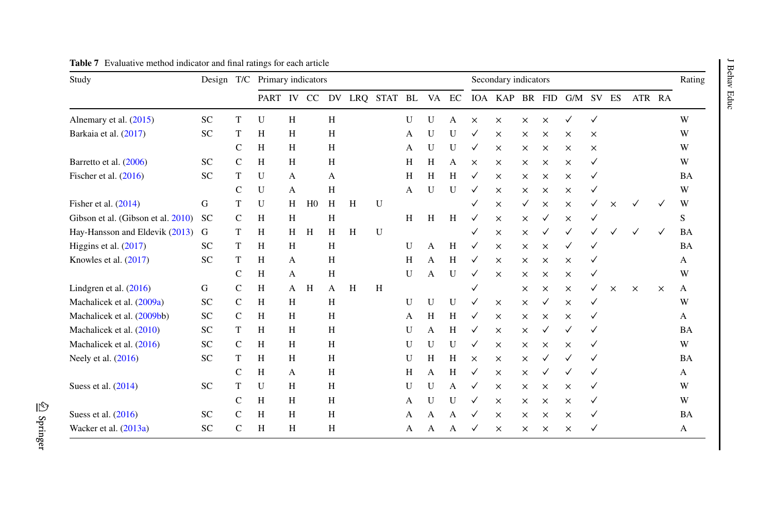| Study                              |           |              | Design T/C Primary indicators |   |                |   |   |                      |   |   |   | Secondary indicators |                |          |          |           |   |          |          | Rating   |           |
|------------------------------------|-----------|--------------|-------------------------------|---|----------------|---|---|----------------------|---|---|---|----------------------|----------------|----------|----------|-----------|---|----------|----------|----------|-----------|
|                                    |           |              | PART IV CC                    |   |                |   |   | DV LRQ STAT BL VA EC |   |   |   |                      | IOA KAP BR FID |          |          | G/M SV ES |   |          | ATR RA   |          |           |
| Alnemary et al. (2015)             | <b>SC</b> | T            | U                             | Н |                | H |   |                      | U | U | A | $\times$             | $\times$       | $\times$ | $\times$ | ✓         | ✓ |          |          |          | W         |
| Barkaia et al. (2017)              | <b>SC</b> | T            | H                             | H |                | H |   |                      | А | U | U | ✓                    | $\times$       | $\times$ | $\times$ | X         | × |          |          |          | W         |
|                                    |           | C            | H                             | H |                | H |   |                      | A | U | U | $\checkmark$         | $\times$       | $\times$ | $\times$ | X         | X |          |          |          | W         |
| Barretto et al. (2006)             | <b>SC</b> | C            | H                             | H |                | H |   |                      | H | Η | A | ×                    | $\times$       | $\times$ | ×        | ×         | ✓ |          |          |          | W         |
| Fischer et al. $(2016)$            | <b>SC</b> | T            | U                             | А |                | А |   |                      | H | H | H | ✓                    | $\times$       | $\times$ | ×        | X         |   |          |          |          | BA        |
|                                    |           | $\mathsf{C}$ | U                             | A |                | H |   |                      | A | U | U |                      | $\times$       | $\times$ | ×        | $\times$  |   |          |          |          | W         |
| Fisher et al. $(2014)$             | G         | T            | U                             | Н | H <sub>0</sub> | H | H | U                    |   |   |   | ✓                    | $\times$       | ✓        | $\times$ | $\times$  | ✓ | $\times$ | ✓        | ✓        | W         |
| Gibson et al. (Gibson et al. 2010) | <b>SC</b> | $\mathsf{C}$ | H                             | H |                | H |   |                      | H | H | H | ✓                    | $\times$       | $\times$ |          | $\times$  |   |          |          |          | S         |
| Hay-Hansson and Eldevik (2013)     | G         | T            | H                             | H | H              | H | H | U                    |   |   |   | ✓                    | $\times$       | $\times$ |          | ✓         |   |          |          | ✓        | BA        |
| Higgins et al. $(2017)$            | <b>SC</b> | T            | H                             | H |                | H |   |                      | U | A | H | ✓                    | $\times$       | $\times$ | $\times$ | ✓         |   |          |          |          | BA        |
| Knowles et al. (2017)              | <b>SC</b> | T            | H                             | A |                | Н |   |                      | H | А | Η | ✓                    | $\times$       | $\times$ | ×        | ×         |   |          |          |          | А         |
|                                    |           | C            | H                             | А |                | Н |   |                      | U | А | U | ✓                    | $\times$       | $\times$ | ×        | X         | ✓ |          |          |          | W         |
| Lindgren et al. $(2016)$           | G         | $\mathsf{C}$ | H                             | A | H              | А | H | H                    |   |   |   |                      |                | $\times$ | $\times$ | ×         | ✓ | $\times$ | $\times$ | $\times$ | А         |
| Machalicek et al. (2009a)          | SC        | $\mathsf{C}$ | H                             | H |                | H |   |                      | U | U | U |                      | $\times$       | $\times$ | V        | $\times$  | ✓ |          |          |          | W         |
| Machalicek et al. (2009bb)         | SC        | $\mathsf{C}$ | H                             | H |                | H |   |                      | A | Н | H | ✓                    | $\times$       | $\times$ | $\times$ | X         |   |          |          |          | A         |
| Machalicek et al. (2010)           | SC        | T            | H                             | Н |                | H |   |                      | U | А | Η | ✓                    | $\times$       | $\times$ |          | ✓         |   |          |          |          | <b>BA</b> |
| Machalicek et al. (2016)           | <b>SC</b> | C            | H                             | H |                | H |   |                      | U | U | U | ✓                    | $\times$       | $\times$ | ×        | ×         |   |          |          |          | W         |
| Neely et al. (2016)                | <b>SC</b> | T            | H                             | Н |                | H |   |                      | U | H | Н | $\times$             | $\times$       | $\times$ |          | ✓         |   |          |          |          | BA        |
|                                    |           | $\mathsf{C}$ | H                             | А |                | H |   |                      | Η | А | Н | ✓                    | $\times$       | $\times$ |          |           | ✓ |          |          |          | A         |
| Suess et al. (2014)                | <b>SC</b> | T            | U                             | Н |                | Η |   |                      | U | U | А | ✓                    | $\times$       | $\times$ | $\times$ | ×         | ✓ |          |          |          | W         |
|                                    |           | C            | H                             | Н |                | H |   |                      | A | U | U |                      | $\times$       | $\times$ | $\times$ | ×         | ✓ |          |          |          | W         |
| Suess et al. (2016)                | <b>SC</b> | $\mathsf{C}$ | H                             | Н |                | H |   |                      | A | А | А |                      | $\times$       | $\times$ | $\times$ | $\times$  | ✓ |          |          |          | BA        |
| Wacker et al. (2013a)              | SC        | $\mathsf{C}$ | H                             | Н |                | H |   |                      | А | A | А |                      | $\times$       | $\times$ | ×        | $\times$  |   |          |          |          | A         |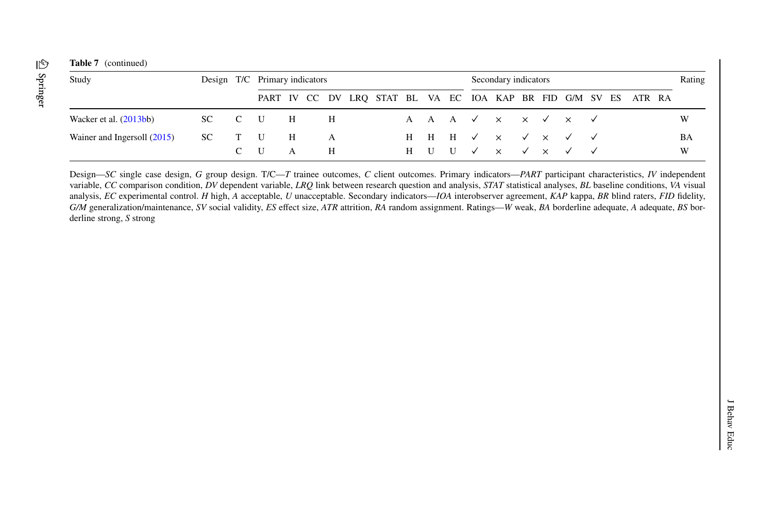<span id="page-46-21"></span><span id="page-46-18"></span><span id="page-46-17"></span>

| Study                                |        |       | Design T/C Primary indicators                                   |            |                |     |  |  |  |  | Secondary indicators |                                                  |  |  | Rating |    |
|--------------------------------------|--------|-------|-----------------------------------------------------------------|------------|----------------|-----|--|--|--|--|----------------------|--------------------------------------------------|--|--|--------|----|
|                                      |        |       | PART IV CC DV LRQ STAT BL VA EC IOA KAP BR FID G/M SV ES ATR RA |            |                |     |  |  |  |  |                      |                                                  |  |  |        |    |
| Wacker et al. $(2013bb)$             | SC C U |       |                                                                 | Н          | Н              |     |  |  |  |  |                      | A A A $\checkmark$ x $\checkmark$ x $\checkmark$ |  |  |        | W  |
| Wainer and Ingersoll $(2015)$ SC T U |        |       |                                                                 | $_{\rm H}$ | $\overline{A}$ |     |  |  |  |  |                      | H H H $\vee$ x $\vee$ x $\vee$ $\vee$            |  |  |        | BA |
|                                      |        | $C$ U |                                                                 | A          |                | - н |  |  |  |  |                      | H U U $\vee$ x $\vee$ x $\vee$ $\vee$            |  |  |        | W  |

<span id="page-46-20"></span><span id="page-46-19"></span><span id="page-46-16"></span><span id="page-46-15"></span><span id="page-46-14"></span><span id="page-46-13"></span><span id="page-46-12"></span><span id="page-46-11"></span><span id="page-46-10"></span><span id="page-46-9"></span><span id="page-46-8"></span><span id="page-46-7"></span><span id="page-46-6"></span><span id="page-46-5"></span><span id="page-46-4"></span><span id="page-46-3"></span><span id="page-46-2"></span><span id="page-46-1"></span><span id="page-46-0"></span>Design—*SC* single case design, *G* group design. T/C—*T* trainee outcomes, *C* client outcomes. Primary indicators—*PART* participant characteristics, *IV* independent variable, *CC* comparison condition, *DV* dependent variable, *LRQ* link between research question and analysis, *STAT* statistical analyses, *BL* baseline conditions, *VA* visual analysis, *EC* experimental control. *H* high, *A* acceptable, *U* unacceptable. Secondary indicators—*IOA* interobserver agreement, *KAP* kappa, *BR* blind raters, *FID* idelity, G/M generalization/maintenance, SV social validity, ES effect size, ATR attrition, RA random assignment. Ratings—W weak, BA borderline adequate, A adequate, BS borderline strong, *S* strong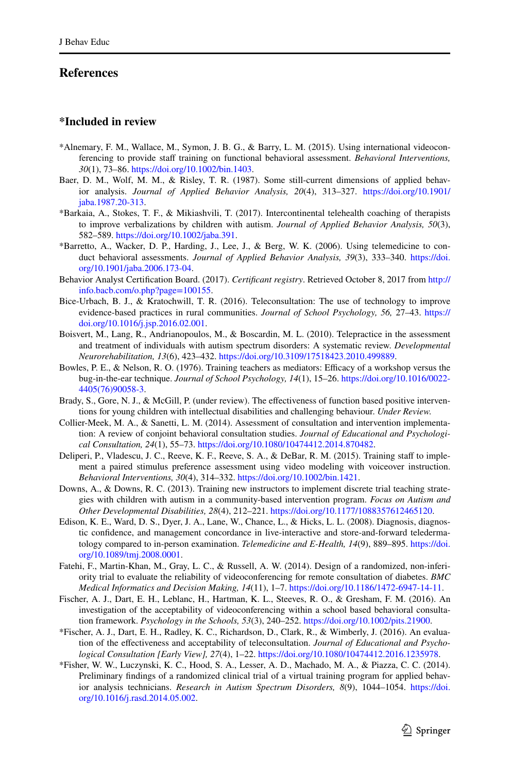### <span id="page-47-16"></span><span id="page-47-15"></span><span id="page-47-14"></span><span id="page-47-13"></span>**References**

### <span id="page-47-7"></span><span id="page-47-4"></span>**\*Included in review**

- <span id="page-47-0"></span>\*Alnemary, F. M., Wallace, M., Symon, J. B. G., & Barry, L. M. (2015). Using international videoconferencing to provide staf training on functional behavioral assessment. *Behavioral Interventions, 30*(1), 73–86. [https ://doi.org/10.1002/bin.1403](https://doi.org/10.1002/bin.1403).
- <span id="page-47-12"></span>Baer, D. M., Wolf, M. M., & Risley, T. R. (1987). Some still-current dimensions of applied behavior analysis. *Journal of Applied Behavior Analysis, 20*(4), 313–327. [https ://doi.org/10.1901/](https://doi.org/10.1901/jaba.1987.20-313) [jaba.1987.20-313](https://doi.org/10.1901/jaba.1987.20-313).
- <span id="page-47-9"></span>\*Barkaia, A., Stokes, T. F., & Mikiashvili, T. (2017). Intercontinental telehealth coaching of therapists to improve verbalizations by children with autism. *Journal of Applied Behavior Analysis, 50*(3), 582–589. [https ://doi.org/10.1002/jaba.391.](https://doi.org/10.1002/jaba.391)
- <span id="page-47-1"></span>\*Barretto, A., Wacker, D. P., Harding, J., Lee, J., & Berg, W. K. (2006). Using telemedicine to conduct behavioral assessments. *Journal of Applied Behavior Analysis, 39*(3), 333–340. [https ://doi.](https://doi.org/10.1901/jaba.2006.173-04) [org/10.1901/jaba.2006.173-04](https://doi.org/10.1901/jaba.2006.173-04).
- Behavior Analyst Certiication Board. (2017). *Certificant registry*. Retrieved October 8, 2017 from [http://](http://info.bacb.com/o.php?page=100155) info.bacb.com/o.php?page=100155.
- <span id="page-47-17"></span>Bice-Urbach, B. J., & Kratochwill, T. R. (2016). Teleconsultation: The use of technology to improve evidence-based practices in rural communities. *Journal of School Psychology*, 56, 27-43. https:// [doi.org/10.1016/j.jsp.2016.02.001.](https://doi.org/10.1016/j.jsp.2016.02.001)
- <span id="page-47-5"></span>Boisvert, M., Lang, R., Andrianopoulos, M., & Boscardin, M. L. (2010). Telepractice in the assessment and treatment of individuals with autism spectrum disorders: A systematic review. *Developmental Neurorehabilitation, 13*(6), 423–432. [https ://doi.org/10.3109/17518 423.2010.49988 9](https://doi.org/10.3109/17518423.2010.499889).
- <span id="page-47-8"></span>Bowles, P. E., & Nelson, R. O. (1976). Training teachers as mediators: Efficacy of a workshop versus the bug-in-the-ear technique. *Journal of School Psychology, 14*(1), 15–26. [https ://doi.org/10.1016/0022-](https://doi.org/10.1016/0022-4405(76)90058-3) [4405\(76\)90058 -3](https://doi.org/10.1016/0022-4405(76)90058-3).
- <span id="page-47-10"></span>Brady, S., Gore, N. J., & McGill, P. (under review). The effectiveness of function based positive interventions for young children with intellectual disabilities and challenging behaviour. *Under Review.*
- <span id="page-47-19"></span>Collier-Meek, M. A., & Sanetti, L. M. (2014). Assessment of consultation and intervention implementation: A review of conjoint behavioral consultation studies. *Journal of Educational and Psychological Consultation, 24*(1), 55–73. [https ://doi.org/10.1080/10474 412.2014.87048 2.](https://doi.org/10.1080/10474412.2014.870482)
- Deliperi, P., Vladescu, J. C., Reeve, K. F., Reeve, S. A., & DeBar, R. M. (2015). Training staff to implement a paired stimulus preference assessment using video modeling with voiceover instruction. *Behavioral Interventions, 30*(4), 314–332. [https ://doi.org/10.1002/bin.1421.](https://doi.org/10.1002/bin.1421)
- <span id="page-47-11"></span>Downs, A., & Downs, R. C. (2013). Training new instructors to implement discrete trial teaching strategies with children with autism in a community-based intervention program. *Focus on Autism and Other Developmental Disabilities, 28*(4), 212–221. [https ://doi.org/10.1177/10883 57612 46512 0.](https://doi.org/10.1177/1088357612465120)
- <span id="page-47-6"></span><span id="page-47-3"></span>Edison, K. E., Ward, D. S., Dyer, J. A., Lane, W., Chance, L., & Hicks, L. L. (2008). Diagnosis, diagnostic conidence, and management concordance in live-interactive and store-and-forward teledermatology compared to in-person examination. *Telemedicine and E-Health, 14*(9), 889–895. [https ://doi.](https://doi.org/10.1089/tmj.2008.0001) [org/10.1089/tmj.2008.0001.](https://doi.org/10.1089/tmj.2008.0001)
- Fatehi, F., Martin-Khan, M., Gray, L. C., & Russell, A. W. (2014). Design of a randomized, non-inferiority trial to evaluate the reliability of videoconferencing for remote consultation of diabetes. *BMC Medical Informatics and Decision Making, 14*(11), 1–7. [https ://doi.org/10.1186/1472-6947-14-11.](https://doi.org/10.1186/1472-6947-14-11)
- <span id="page-47-18"></span>Fischer, A. J., Dart, E. H., Leblanc, H., Hartman, K. L., Steeves, R. O., & Gresham, F. M. (2016). An investigation of the acceptability of videoconferencing within a school based behavioral consultation framework. *Psychology in the Schools, 53*(3), 240–252. [https ://doi.org/10.1002/pits.21900 .](https://doi.org/10.1002/pits.21900)
- <span id="page-47-20"></span>\*Fischer, A. J., Dart, E. H., Radley, K. C., Richardson, D., Clark, R., & Wimberly, J. (2016). An evaluation of the efectiveness and acceptability of teleconsultation. *Journal of Educational and Psychological Consultation [Early View], 27*(4), 1–22. [https ://doi.org/10.1080/10474 412.2016.12359 78.](https://doi.org/10.1080/10474412.2016.1235978)
- <span id="page-47-2"></span>\*Fisher, W. W., Luczynski, K. C., Hood, S. A., Lesser, A. D., Machado, M. A., & Piazza, C. C. (2014). Preliminary indings of a randomized clinical trial of a virtual training program for applied behavior analysis technicians. *Research in Autism Spectrum Disorders, 8*(9), 1044–1054. [https ://doi.](https://doi.org/10.1016/j.rasd.2014.05.002) [org/10.1016/j.rasd.2014.05.002.](https://doi.org/10.1016/j.rasd.2014.05.002)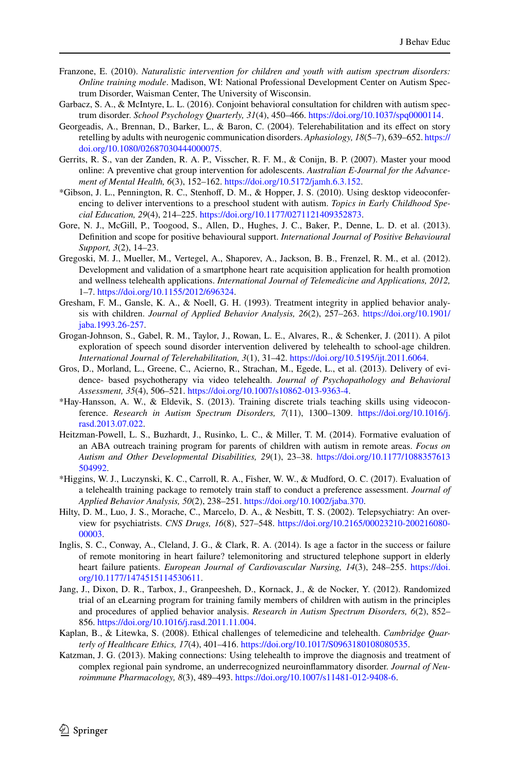- <span id="page-48-19"></span><span id="page-48-18"></span><span id="page-48-17"></span><span id="page-48-16"></span><span id="page-48-15"></span><span id="page-48-14"></span><span id="page-48-0"></span>Franzone, E. (2010). *Naturalistic intervention for children and youth with autism spectrum disorders: Online training module*. Madison, WI: National Professional Development Center on Autism Spectrum Disorder, Waisman Center, The University of Wisconsin.
- <span id="page-48-6"></span>Garbacz, S. A., & McIntyre, L. L. (2016). Conjoint behavioral consultation for children with autism spectrum disorder. *School Psychology Quarterly, 31*(4), 450–466. [https ://doi.org/10.1037/spq00 00114](https://doi.org/10.1037/spq0000114) .
- <span id="page-48-1"></span>Georgeadis, A., Brennan, D., Barker, L., & Baron, C. (2004). Telerehabilitation and its efect on story retelling by adults with neurogenic communication disorders. *Aphasiology, 18*(5–7), 639–652. [https ://](https://doi.org/10.1080/02687030444000075) doi.org/10.1080/02687030444000075.
- Gerrits, R. S., van der Zanden, R. A. P., Visscher, R. F. M., & Conijn, B. P. (2007). Master your mood online: A preventive chat group intervention for adolescents. *Australian E-Journal for the Advancement of Mental Health, 6*(3), 152–162. [https ://doi.org/10.5172/jamh.6.3.152.](https://doi.org/10.5172/jamh.6.3.152)
- <span id="page-48-12"></span>\*Gibson, J. L., Pennington, R. C., Stenhof, D. M., & Hopper, J. S. (2010). Using desktop videoconferencing to deliver interventions to a preschool student with autism. *Topics in Early Childhood Special Education, 29*(4), 214–225. [https ://doi.org/10.1177/02711 21409 35287 3.](https://doi.org/10.1177/0271121409352873)
- <span id="page-48-21"></span><span id="page-48-20"></span>Gore, N. J., McGill, P., Toogood, S., Allen, D., Hughes, J. C., Baker, P., Denne, L. D. et al. (2013). Definition and scope for positive behavioural support. *International Journal of Positive Behavioural Support, 3*(2), 14–23.
- Gregoski, M. J., Mueller, M., Vertegel, A., Shaporev, A., Jackson, B. B., Frenzel, R. M., et al. (2012). Development and validation of a smartphone heart rate acquisition application for health promotion and wellness telehealth applications. *International Journal of Telemedicine and Applications, 2012,* 1–7. https://doi.org/10.1155/2012/696324.
- <span id="page-48-8"></span>Gresham, F. M., Gansle, K. A., & Noell, G. H. (1993). Treatment integrity in applied behavior analysis with children. *Journal of Applied Behavior Analysis, 26*(2), 257–263. [https ://doi.org/10.1901/](https://doi.org/10.1901/jaba.1993.26-257) [jaba.1993.26-257](https://doi.org/10.1901/jaba.1993.26-257).
- <span id="page-48-2"></span>Grogan-Johnson, S., Gabel, R. M., Taylor, J., Rowan, L. E., Alvares, R., & Schenker, J. (2011). A pilot exploration of speech sound disorder intervention delivered by telehealth to school-age children. *International Journal of Telerehabilitation, 3*(1), 31–42. [https ://doi.org/10.5195/ijt.2011.6064.](https://doi.org/10.5195/ijt.2011.6064)
- <span id="page-48-10"></span>Gros, D., Morland, L., Greene, C., Acierno, R., Strachan, M., Egede, L., et al. (2013). Delivery of evidence- based psychotherapy via video telehealth. *Journal of Psychopathology and Behavioral*  Assessment, 35(4), 506–521. https://doi.org/10.1007/s10862-013-9363-4.
- <span id="page-48-9"></span>\*Hay-Hansson, A. W., & Eldevik, S. (2013). Training discrete trials teaching skills using videoconference. *Research in Autism Spectrum Disorders, 7*(11), 1300-1309. https://doi.org/10.1016/j. [rasd.2013.07.022](https://doi.org/10.1016/j.rasd.2013.07.022).
- <span id="page-48-11"></span>Heitzman-Powell, L. S., Buzhardt, J., Rusinko, L. C., & Miller, T. M. (2014). Formative evaluation of an ABA outreach training program for parents of children with autism in remote areas. *Focus on Autism and Other Developmental Disabilities, 29*(1), 23–38. [https ://doi.org/10.1177/10883 57613](https://doi.org/10.1177/1088357613504992) 504992.
- <span id="page-48-13"></span>\*Higgins, W. J., Luczynski, K. C., Carroll, R. A., Fisher, W. W., & Mudford, O. C. (2017). Evaluation of a telehealth training package to remotely train staff to conduct a preference assessment. *Journal of Applied Behavior Analysis, 50*(2), 238–251. [https ://doi.org/10.1002/jaba.370](https://doi.org/10.1002/jaba.370).
- Hilty, D. M., Luo, J. S., Morache, C., Marcelo, D. A., & Nesbitt, T. S. (2002). Telepsychiatry: An overview for psychiatrists. *CNS Drugs, 16*(8), 527–548. [https ://doi.org/10.2165/00023 210-20021 6080-](https://doi.org/10.2165/00023210-200216080-00003) [00003](https://doi.org/10.2165/00023210-200216080-00003).
- <span id="page-48-22"></span><span id="page-48-7"></span>Inglis, S. C., Conway, A., Cleland, J. G., & Clark, R. A. (2014). Is age a factor in the success or failure of remote monitoring in heart failure? telemonitoring and structured telephone support in elderly heart failure patients. *European Journal of Cardiovascular Nursing, 14*(3), 248–255. [https ://doi.](https://doi.org/10.1177/1474515114530611) org/10.1177/1474515114530611.
- <span id="page-48-5"></span>Jang, J., Dixon, D. R., Tarbox, J., Granpeesheh, D., Kornack, J., & de Nocker, Y. (2012). Randomized trial of an eLearning program for training family members of children with autism in the principles and procedures of applied behavior analysis. *Research in Autism Spectrum Disorders, 6*(2), 852– 856. [https ://doi.org/10.1016/j.rasd.2011.11.004](https://doi.org/10.1016/j.rasd.2011.11.004).
- <span id="page-48-4"></span>Kaplan, B., & Litewka, S. (2008). Ethical challenges of telemedicine and telehealth. *Cambridge Quarterly of Healthcare Ethics, 17*(4), 401–416. https://doi.org/10.1017/S0963180108080535.
- <span id="page-48-3"></span>Katzman, J. G. (2013). Making connections: Using telehealth to improve the diagnosis and treatment of complex regional pain syndrome, an underrecognized neuroinlammatory disorder. *Journal of Neuroimmune Pharmacology, 8*(3), 489–493. [https ://doi.org/10.1007/s1148 1-012-9408-6](https://doi.org/10.1007/s11481-012-9408-6).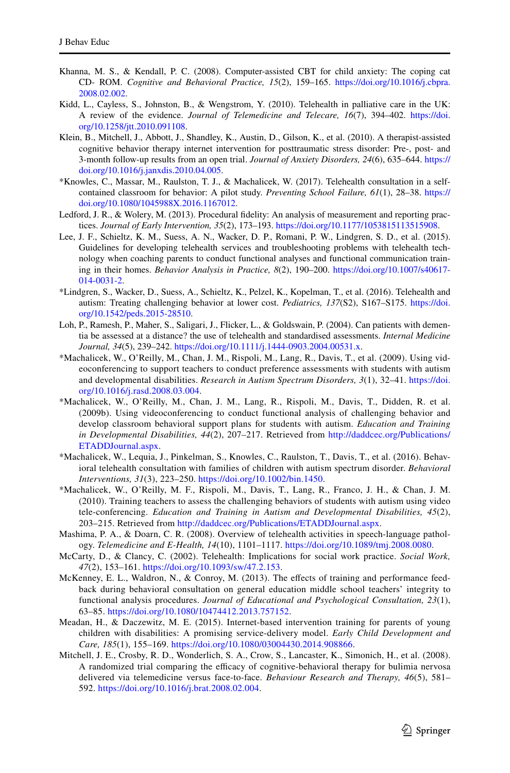- <span id="page-49-22"></span><span id="page-49-19"></span><span id="page-49-18"></span><span id="page-49-17"></span><span id="page-49-14"></span>Khanna, M. S., & Kendall, P. C. (2008). Computer-assisted CBT for child anxiety: The coping cat CD- ROM. *Cognitive and Behavioral Practice, 15*(2), 159–165. [https ://doi.org/10.1016/j.cbpra .](https://doi.org/10.1016/j.cbpra.2008.02.002) [2008.02.002](https://doi.org/10.1016/j.cbpra.2008.02.002).
- <span id="page-49-20"></span>Kidd, L., Cayless, S., Johnston, B., & Wengstrom, Y. (2010). Telehealth in palliative care in the UK: A review of the evidence. *Journal of Telemedicine and Telecare, 16*(7), 394–402. [https ://doi.](https://doi.org/10.1258/jtt.2010.091108) org/10.1258/jtt.2010.091108.
- <span id="page-49-2"></span>Klein, B., Mitchell, J., Abbott, J., Shandley, K., Austin, D., Gilson, K., et al. (2010). A therapist-assisted cognitive behavior therapy internet intervention for posttraumatic stress disorder: Pre-, post- and 3-month follow-up results from an open trial. *Journal of Anxiety Disorders, 24*(6), 635–644. [https ://](https://doi.org/10.1016/j.janxdis.2010.04.005) doi.org/10.1016/j.janxdis.2010.04.005.
- <span id="page-49-7"></span>\*Knowles, C., Massar, M., Raulston, T. J., & Machalicek, W. (2017). Telehealth consultation in a selfcontained classroom for behavior: A pilot study. *Preventing School Failure, 61*(1), 28–38. [https ://](https://doi.org/10.1080/1045988X.2016.1167012) doi.org/10.1080/1045988X.2016.1167012.
- <span id="page-49-8"></span>Ledford, J. R., & Wolery, M. (2013). Procedural idelity: An analysis of measurement and reporting practices. *Journal of Early Intervention, 35*(2), 173–193. [https ://doi.org/10.1177/10538 15113 51590 8](https://doi.org/10.1177/1053815113515908).
- <span id="page-49-6"></span><span id="page-49-3"></span>Lee, J. F., Schieltz, K. M., Suess, A. N., Wacker, D. P., Romani, P. W., Lindgren, S. D., et al. (2015). Guidelines for developing telehealth services and troubleshooting problems with telehealth technology when coaching parents to conduct functional analyses and functional communication training in their homes. *Behavior Analysis in Practice*,  $8(2)$ , 190–200. https://doi.org/10.1007/s40617-[014-0031-2](https://doi.org/10.1007/s40617-014-0031-2).
- <span id="page-49-1"></span>\*Lindgren, S., Wacker, D., Suess, A., Schieltz, K., Pelzel, K., Kopelman, T., et al. (2016). Telehealth and autism: Treating challenging behavior at lower cost. *Pediatrics, 137*(S2), S167–S175. [https ://doi.](https://doi.org/10.1542/peds.2015-28510) [org/10.1542/peds.2015-28510](https://doi.org/10.1542/peds.2015-28510) .
- <span id="page-49-0"></span>Loh, P., Ramesh, P., Maher, S., Saligari, J., Flicker, L., & Goldswain, P. (2004). Can patients with dementia be assessed at a distance? the use of telehealth and standardised assessments. *Internal Medicine Journal, 34*(5), 239–242. [https ://doi.org/10.1111/j.1444-0903.2004.00531 .x.](https://doi.org/10.1111/j.1444-0903.2004.00531.x)
- <span id="page-49-12"></span>\*Machalicek, W., O'Reilly, M., Chan, J. M., Rispoli, M., Lang, R., Davis, T., et al. (2009). Using videoconferencing to support teachers to conduct preference assessments with students with autism and developmental disabilities. *Research in Autism Spectrum Disorders, 3*(1), 32–41. [https ://doi.](https://doi.org/10.1016/j.rasd.2008.03.004) [org/10.1016/j.rasd.2008.03.004.](https://doi.org/10.1016/j.rasd.2008.03.004)
- <span id="page-49-13"></span><span id="page-49-11"></span>\*Machalicek, W., O'Reilly, M., Chan, J. M., Lang, R., Rispoli, M., Davis, T., Didden, R. et al. (2009b). Using videoconferencing to conduct functional analysis of challenging behavior and develop classroom behavioral support plans for students with autism. *Education and Training in Developmental Disabilities, 44(2), 207–217. Retrieved from http://daddcec.org/Publications/* ETADDJournal.aspx.
- <span id="page-49-10"></span>\*Machalicek, W., Lequia, J., Pinkelman, S., Knowles, C., Raulston, T., Davis, T., et al. (2016). Behavioral telehealth consultation with families of children with autism spectrum disorder. *Behavioral Interventions, 31*(3), 223–250. [https ://doi.org/10.1002/bin.1450](https://doi.org/10.1002/bin.1450).
- <span id="page-49-9"></span>\*Machalicek, W., O'Reilly, M. F., Rispoli, M., Davis, T., Lang, R., Franco, J. H., & Chan, J. M. (2010). Training teachers to assess the challenging behaviors of students with autism using video tele-conferencing. *Education and Training in Autism and Developmental Disabilities, 45*(2), 203–215. Retrieved from http://daddcec.org/Publications/ETADDJournal.aspx.
- <span id="page-49-16"></span>Mashima, P. A., & Doarn, C. R. (2008). Overview of telehealth activities in speech-language pathology. *Telemedicine and E-Health, 14*(10), 1101–1117. [https ://doi.org/10.1089/tmj.2008.0080](https://doi.org/10.1089/tmj.2008.0080).
- McCarty, D., & Clancy, C. (2002). Telehealth: Implications for social work practice. *Social Work, 47*(2), 153–161. [https ://doi.org/10.1093/sw/47.2.153.](https://doi.org/10.1093/sw/47.2.153)
- <span id="page-49-15"></span>McKenney, E. L., Waldron, N., & Conroy, M. (2013). The effects of training and performance feedback during behavioral consultation on general education middle school teachers' integrity to functional analysis procedures. *Journal of Educational and Psychological Consultation, 23*(1), 63–85. [https ://doi.org/10.1080/10474 412.2013.75715 2](https://doi.org/10.1080/10474412.2013.757152).
- <span id="page-49-21"></span>Meadan, H., & Daczewitz, M. E. (2015). Internet-based intervention training for parents of young children with disabilities: A promising service-delivery model. *Early Child Development and Care,* 185(1), 155-169. https://doi.org/10.1080/03004430.2014.908866.
- <span id="page-49-5"></span><span id="page-49-4"></span>Mitchell, J. E., Crosby, R. D., Wonderlich, S. A., Crow, S., Lancaster, K., Simonich, H., et al. (2008). A randomized trial comparing the efficacy of cognitive-behavioral therapy for bulimia nervosa delivered via telemedicine versus face-to-face. *Behaviour Research and Therapy, 46*(5), 581– 592. [https ://doi.org/10.1016/j.brat.2008.02.004](https://doi.org/10.1016/j.brat.2008.02.004).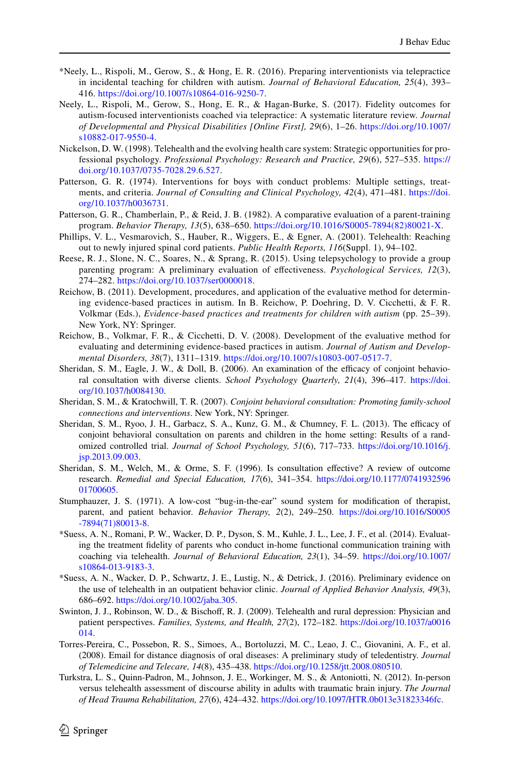- <span id="page-50-16"></span><span id="page-50-12"></span><span id="page-50-11"></span><span id="page-50-10"></span>\*Neely, L., Rispoli, M., Gerow, S., & Hong, E. R. (2016). Preparing interventionists via telepractice in incidental teaching for children with autism. *Journal of Behavioral Education, 25*(4), 393– 416. https://doi.org/10.1007/s10864-016-9250-7.
- <span id="page-50-14"></span><span id="page-50-2"></span>Neely, L., Rispoli, M., Gerow, S., Hong, E. R., & Hagan-Burke, S. (2017). Fidelity outcomes for autism-focused interventionists coached via telepractice: A systematic literature review. *Journal of Developmental and Physical Disabilities [Online First], 29*(6), 1–26. [https ://doi.org/10.1007/](https://doi.org/10.1007/s10882-017-9550-4) s10882-017-9550-4.
- <span id="page-50-13"></span>Nickelson, D. W. (1998). Telehealth and the evolving health care system: Strategic opportunities for professional psychology. *Professional Psychology: Research and Practice, 29*(6), 527–535. [https ://](https://doi.org/10.1037/0735-7028.29.6.527) [doi.org/10.1037/0735-7028.29.6.527.](https://doi.org/10.1037/0735-7028.29.6.527)
- <span id="page-50-15"></span>Patterson, G. R. (1974). Interventions for boys with conduct problems: Multiple settings, treatments, and criteria. *Journal of Consulting and Clinical Psychology*,  $42(4)$ ,  $471-481$ . https://doi. org/10.1037/h0036731.
- <span id="page-50-3"></span>Patterson, G. R., Chamberlain, P., & Reid, J. B. (1982). A comparative evaluation of a parent-training program. *Behavior Therapy, 13*(5), 638–650. [https ://doi.org/10.1016/S0005 -7894\(82\)80021 -X](https://doi.org/10.1016/S0005-7894(82)80021-X).
- Phillips, V. L., Vesmarovich, S., Hauber, R., Wiggers, E., & Egner, A. (2001). Telehealth: Reaching out to newly injured spinal cord patients. *Public Health Reports, 116*(Suppl. 1), 94–102.
- <span id="page-50-8"></span>Reese, R. J., Slone, N. C., Soares, N., & Sprang, R. (2015). Using telepsychology to provide a group parenting program: A preliminary evaluation of efectiveness. *Psychological Services, 12*(3), 274–282. https://doi.org/10.1037/ser0000018.
- <span id="page-50-9"></span>Reichow, B. (2011). Development, procedures, and application of the evaluative method for determining evidence-based practices in autism. In B. Reichow, P. Doehring, D. V. Cicchetti, & F. R. Volkmar (Eds.), *Evidence-based practices and treatments for children with autism* (pp. 25–39). New York, NY: Springer.
- <span id="page-50-7"></span>Reichow, B., Volkmar, F. R., & Cicchetti, D. V. (2008). Development of the evaluative method for evaluating and determining evidence-based practices in autism. *Journal of Autism and Developmental Disorders,* 38(7), 1311–1319. https://doi.org/10.1007/s10803-007-0517-7.
- <span id="page-50-4"></span>Sheridan, S. M., Eagle, J. W., & Doll, B. (2006). An examination of the efficacy of conjoint behavioral consultation with diverse clients. *School Psychology Quarterly, 21*(4), 396–417. [https ://doi.](https://doi.org/10.1037/h0084130) org/10.1037/h0084130.
- <span id="page-50-6"></span>Sheridan, S. M., & Kratochwill, T. R. (2007). *Conjoint behavioral consultation: Promoting family-school connections and interventions*. New York, NY: Springer.
- <span id="page-50-5"></span>Sheridan, S. M., Ryoo, J. H., Garbacz, S. A., Kunz, G. M., & Chumney, F. L. (2013). The efficacy of conjoint behavioral consultation on parents and children in the home setting: Results of a randomized controlled trial. *Journal of School Psychology, 51*(6), 717–733. [https ://doi.org/10.1016/j.](https://doi.org/10.1016/j.jsp.2013.09.003) [jsp.2013.09.003](https://doi.org/10.1016/j.jsp.2013.09.003).
- <span id="page-50-1"></span>Sheridan, S. M., Welch, M., & Orme, S. F. (1996). Is consultation efective? A review of outcome research. *Remedial and Special Education, 17*(6), 341–354. [https ://doi.org/10.1177/07419 32596](https://doi.org/10.1177/074193259601700605) 01700605
- <span id="page-50-0"></span>Stumphauzer, J. S. (1971). A low-cost "bug-in-the-ear" sound system for modiication of therapist, parent, and patient behavior. *Behavior Therapy*, 2(2), 249–250. https://doi.org/10.1016/S0005 [-7894\(71\)80013 -8.](https://doi.org/10.1016/S0005-7894(71)80013-8)
- \*Suess, A. N., Romani, P. W., Wacker, D. P., Dyson, S. M., Kuhle, J. L., Lee, J. F., et al. (2014). Evaluating the treatment idelity of parents who conduct in-home functional communication training with coaching via telehealth. *Journal of Behavioral Education, 23*(1), 34–59. [https ://doi.org/10.1007/](https://doi.org/10.1007/s10864-013-9183-3) s10864-013-9183-3.
- \*Suess, A. N., Wacker, D. P., Schwartz, J. E., Lustig, N., & Detrick, J. (2016). Preliminary evidence on the use of telehealth in an outpatient behavior clinic. *Journal of Applied Behavior Analysis, 49*(3), 686–692. [https ://doi.org/10.1002/jaba.305.](https://doi.org/10.1002/jaba.305)
- Swinton, J. J., Robinson, W. D., & Bischof, R. J. (2009). Telehealth and rural depression: Physician and patient perspectives. *Families, Systems, and Health, 27*(2), 172–182. [https ://doi.org/10.1037/a0016](https://doi.org/10.1037/a0016014) [014](https://doi.org/10.1037/a0016014).
- Torres-Pereira, C., Possebon, R. S., Simoes, A., Bortoluzzi, M. C., Leao, J. C., Giovanini, A. F., et al. (2008). Email for distance diagnosis of oral diseases: A preliminary study of teledentistry. *Journal of Telemedicine and Telecare, 14*(8), 435–438. [https ://doi.org/10.1258/jtt.2008.08051 0.](https://doi.org/10.1258/jtt.2008.080510)
- Turkstra, L. S., Quinn-Padron, M., Johnson, J. E., Workinger, M. S., & Antoniotti, N. (2012). In-person versus telehealth assessment of discourse ability in adults with traumatic brain injury. *The Journal of Head Trauma Rehabilitation, 27*(6), 424–432. [https ://doi.org/10.1097/HTR.0b013 e3182 3346f c](https://doi.org/10.1097/HTR.0b013e31823346fc).